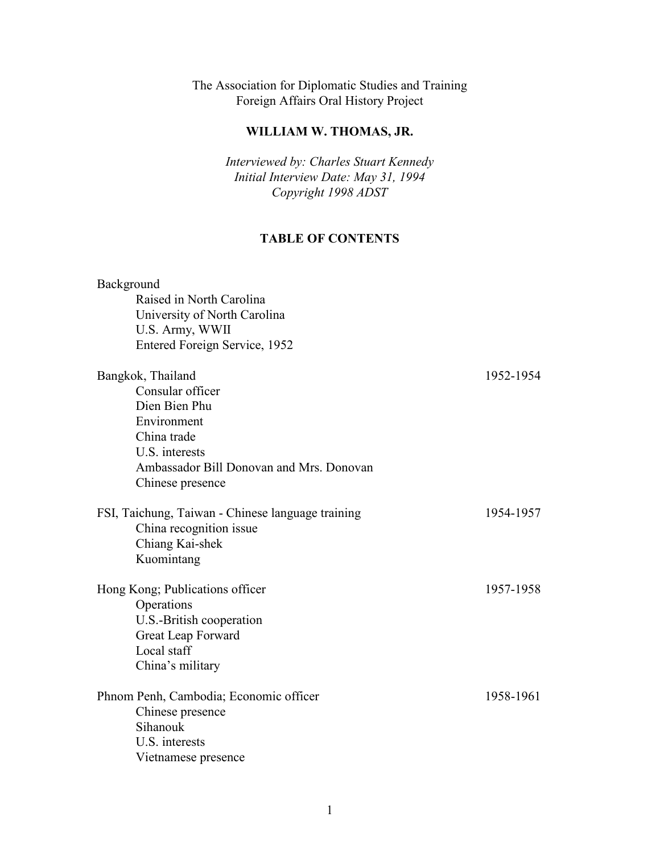The Association for Diplomatic Studies and Training Foreign Affairs Oral History Project

### **WILLIAM W. THOMAS, JR.**

*Interviewed by: Charles Stuart Kennedy Initial Interview Date: May 31, 1994 Copyright 1998 ADST*

## **TABLE OF CONTENTS**

| Background                                        |           |
|---------------------------------------------------|-----------|
| Raised in North Carolina                          |           |
| University of North Carolina                      |           |
| U.S. Army, WWII                                   |           |
| Entered Foreign Service, 1952                     |           |
| Bangkok, Thailand                                 | 1952-1954 |
| Consular officer                                  |           |
| Dien Bien Phu                                     |           |
| Environment                                       |           |
| China trade                                       |           |
| U.S. interests                                    |           |
| Ambassador Bill Donovan and Mrs. Donovan          |           |
| Chinese presence                                  |           |
| FSI, Taichung, Taiwan - Chinese language training | 1954-1957 |
| China recognition issue                           |           |
| Chiang Kai-shek                                   |           |
| Kuomintang                                        |           |
| Hong Kong; Publications officer                   | 1957-1958 |
| Operations                                        |           |
| U.S.-British cooperation                          |           |
| Great Leap Forward                                |           |
| Local staff                                       |           |
| China's military                                  |           |
| Phnom Penh, Cambodia; Economic officer            | 1958-1961 |
| Chinese presence                                  |           |
| Sihanouk                                          |           |
| U.S. interests                                    |           |
| Vietnamese presence                               |           |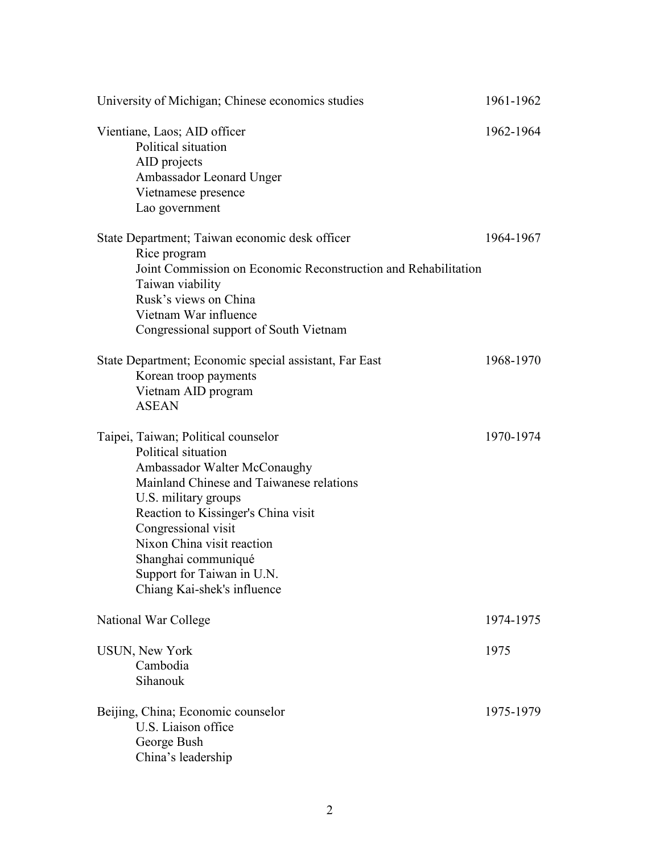| University of Michigan; Chinese economics studies                                                                                                                                                                                                                                                                                              | 1961-1962 |
|------------------------------------------------------------------------------------------------------------------------------------------------------------------------------------------------------------------------------------------------------------------------------------------------------------------------------------------------|-----------|
| Vientiane, Laos; AID officer<br>Political situation<br>AID projects<br>Ambassador Leonard Unger                                                                                                                                                                                                                                                | 1962-1964 |
| Vietnamese presence<br>Lao government                                                                                                                                                                                                                                                                                                          |           |
| State Department; Taiwan economic desk officer<br>Rice program<br>Joint Commission on Economic Reconstruction and Rehabilitation<br>Taiwan viability<br>Rusk's views on China<br>Vietnam War influence<br>Congressional support of South Vietnam                                                                                               | 1964-1967 |
| State Department; Economic special assistant, Far East<br>Korean troop payments<br>Vietnam AID program<br><b>ASEAN</b>                                                                                                                                                                                                                         | 1968-1970 |
| Taipei, Taiwan; Political counselor<br>Political situation<br>Ambassador Walter McConaughy<br>Mainland Chinese and Taiwanese relations<br>U.S. military groups<br>Reaction to Kissinger's China visit<br>Congressional visit<br>Nixon China visit reaction<br>Shanghai communiqué<br>Support for Taiwan in U.N.<br>Chiang Kai-shek's influence | 1970-1974 |
| National War College                                                                                                                                                                                                                                                                                                                           | 1974-1975 |
| <b>USUN, New York</b><br>Cambodia<br>Sihanouk                                                                                                                                                                                                                                                                                                  | 1975      |
| Beijing, China; Economic counselor<br>U.S. Liaison office<br>George Bush<br>China's leadership                                                                                                                                                                                                                                                 | 1975-1979 |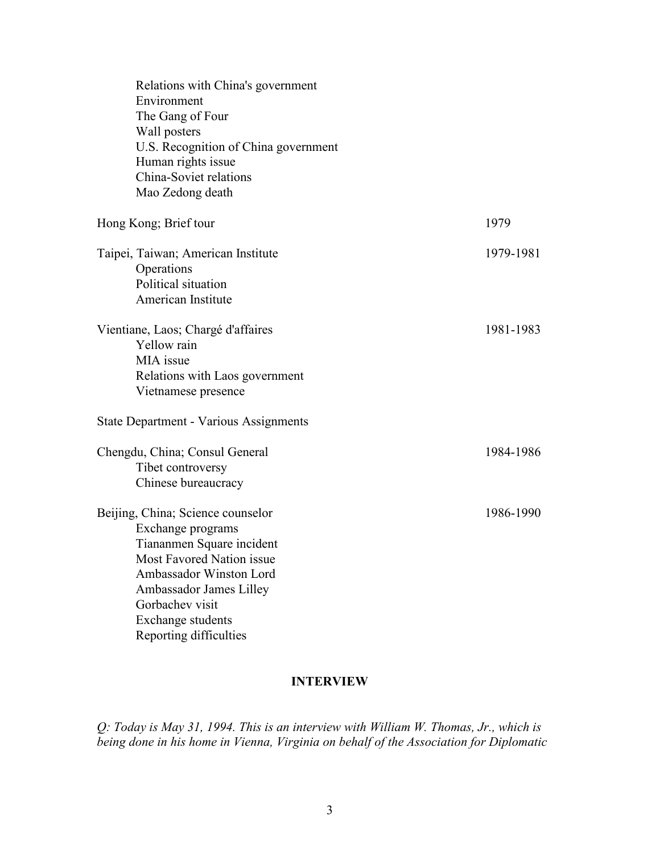| Relations with China's government             |           |
|-----------------------------------------------|-----------|
| Environment                                   |           |
| The Gang of Four                              |           |
| Wall posters                                  |           |
| U.S. Recognition of China government          |           |
| Human rights issue                            |           |
| China-Soviet relations                        |           |
| Mao Zedong death                              |           |
| Hong Kong; Brief tour                         | 1979      |
| Taipei, Taiwan; American Institute            | 1979-1981 |
| Operations                                    |           |
| Political situation                           |           |
| American Institute                            |           |
| Vientiane, Laos; Chargé d'affaires            | 1981-1983 |
| Yellow rain                                   |           |
| MIA issue                                     |           |
| Relations with Laos government                |           |
| Vietnamese presence                           |           |
| <b>State Department - Various Assignments</b> |           |
| Chengdu, China; Consul General                | 1984-1986 |
| Tibet controversy                             |           |
| Chinese bureaucracy                           |           |
| Beijing, China; Science counselor             | 1986-1990 |
| Exchange programs                             |           |
| Tiananmen Square incident                     |           |
| Most Favored Nation issue                     |           |
| Ambassador Winston Lord                       |           |
| Ambassador James Lilley                       |           |
| Gorbachev visit                               |           |
| Exchange students                             |           |
| Reporting difficulties                        |           |

#### **INTERVIEW**

*Q: Today is May 31, 1994. This is an interview with William W. Thomas, Jr., which is being done in his home in Vienna, Virginia on behalf of the Association for Diplomatic*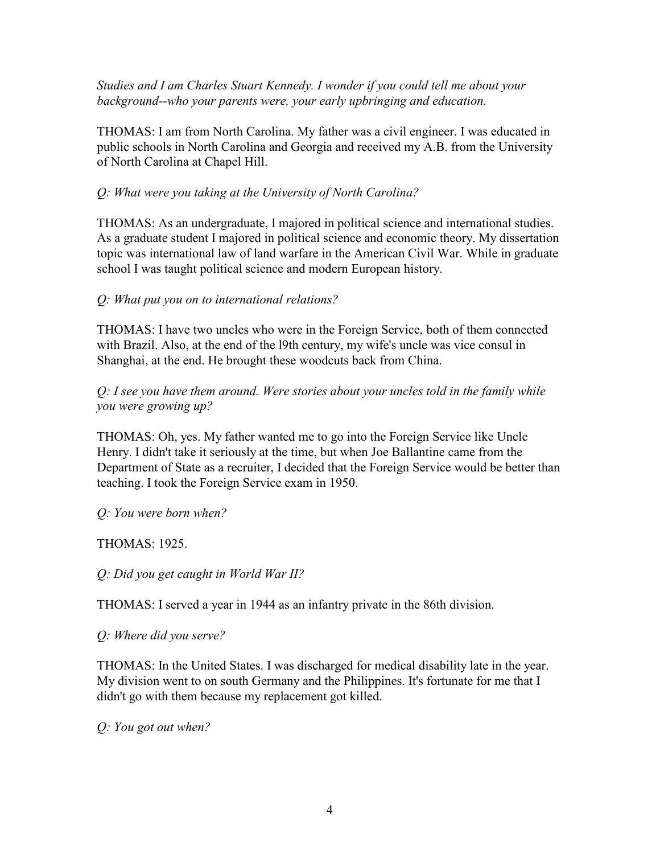*Studies and I am Charles Stuart Kennedy. I wonder if you could tell me about your background--who your parents were, your early upbringing and education.* 

THOMAS: I am from North Carolina. My father was a civil engineer. I was educated in public schools in North Carolina and Georgia and received my A.B. from the University of North Carolina at Chapel Hill.

## *Q: What were you taking at the University of North Carolina?*

THOMAS: As an undergraduate, I majored in political science and international studies. As a graduate student I majored in political science and economic theory. My dissertation topic was international law of land warfare in the American Civil War. While in graduate school I was taught political science and modern European history.

### *Q: What put you on to international relations?*

THOMAS: I have two uncles who were in the Foreign Service, both of them connected with Brazil. Also, at the end of the l9th century, my wife's uncle was vice consul in Shanghai, at the end. He brought these woodcuts back from China.

*Q: I see you have them around. Were stories about your uncles told in the family while you were growing up?* 

THOMAS: Oh, yes. My father wanted me to go into the Foreign Service like Uncle Henry. I didn't take it seriously at the time, but when Joe Ballantine came from the Department of State as a recruiter, I decided that the Foreign Service would be better than teaching. I took the Foreign Service exam in 1950.

*Q: You were born when?* 

THOMAS: 1925.

*Q: Did you get caught in World War II?* 

THOMAS: I served a year in 1944 as an infantry private in the 86th division.

*Q: Where did you serve?* 

THOMAS: In the United States. I was discharged for medical disability late in the year. My division went to on south Germany and the Philippines. It's fortunate for me that I didn't go with them because my replacement got killed.

*Q: You got out when?*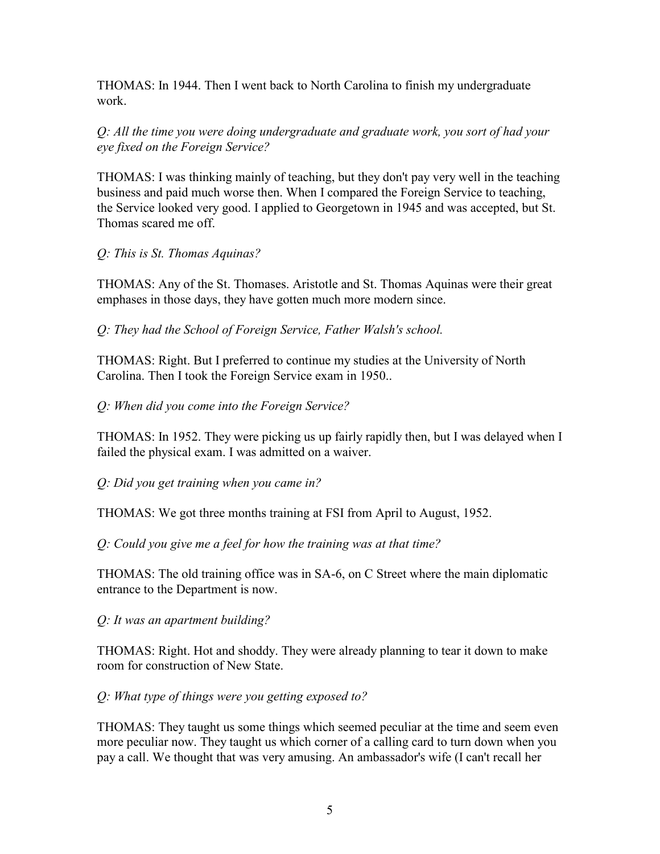THOMAS: In 1944. Then I went back to North Carolina to finish my undergraduate work.

*Q: All the time you were doing undergraduate and graduate work, you sort of had your eye fixed on the Foreign Service?* 

THOMAS: I was thinking mainly of teaching, but they don't pay very well in the teaching business and paid much worse then. When I compared the Foreign Service to teaching, the Service looked very good. I applied to Georgetown in 1945 and was accepted, but St. Thomas scared me off.

#### *Q: This is St. Thomas Aquinas?*

THOMAS: Any of the St. Thomases. Aristotle and St. Thomas Aquinas were their great emphases in those days, they have gotten much more modern since.

*Q: They had the School of Foreign Service, Father Walsh's school.* 

THOMAS: Right. But I preferred to continue my studies at the University of North Carolina. Then I took the Foreign Service exam in 1950..

#### *Q: When did you come into the Foreign Service?*

THOMAS: In 1952. They were picking us up fairly rapidly then, but I was delayed when I failed the physical exam. I was admitted on a waiver.

*Q: Did you get training when you came in?* 

THOMAS: We got three months training at FSI from April to August, 1952.

*Q: Could you give me a feel for how the training was at that time?* 

THOMAS: The old training office was in SA-6, on C Street where the main diplomatic entrance to the Department is now.

*Q: It was an apartment building?* 

THOMAS: Right. Hot and shoddy. They were already planning to tear it down to make room for construction of New State.

#### *Q: What type of things were you getting exposed to?*

THOMAS: They taught us some things which seemed peculiar at the time and seem even more peculiar now. They taught us which corner of a calling card to turn down when you pay a call. We thought that was very amusing. An ambassador's wife (I can't recall her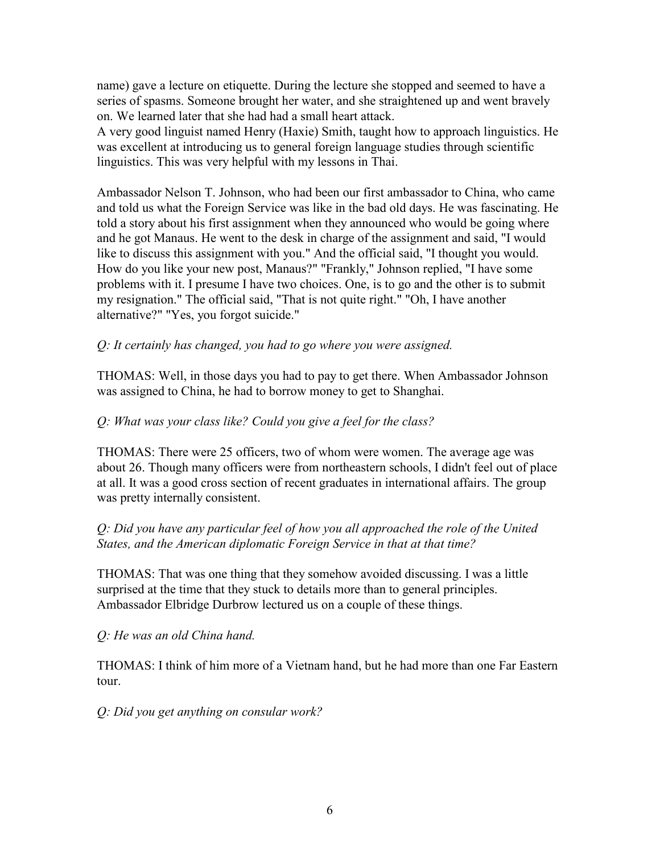name) gave a lecture on etiquette. During the lecture she stopped and seemed to have a series of spasms. Someone brought her water, and she straightened up and went bravely on. We learned later that she had had a small heart attack.

A very good linguist named Henry (Haxie) Smith, taught how to approach linguistics. He was excellent at introducing us to general foreign language studies through scientific linguistics. This was very helpful with my lessons in Thai.

Ambassador Nelson T. Johnson, who had been our first ambassador to China, who came and told us what the Foreign Service was like in the bad old days. He was fascinating. He told a story about his first assignment when they announced who would be going where and he got Manaus. He went to the desk in charge of the assignment and said, "I would like to discuss this assignment with you." And the official said, "I thought you would. How do you like your new post, Manaus?" "Frankly," Johnson replied, "I have some problems with it. I presume I have two choices. One, is to go and the other is to submit my resignation." The official said, "That is not quite right." "Oh, I have another alternative?" "Yes, you forgot suicide."

#### *Q: It certainly has changed, you had to go where you were assigned.*

THOMAS: Well, in those days you had to pay to get there. When Ambassador Johnson was assigned to China, he had to borrow money to get to Shanghai.

#### *Q: What was your class like? Could you give a feel for the class?*

THOMAS: There were 25 officers, two of whom were women. The average age was about 26. Though many officers were from northeastern schools, I didn't feel out of place at all. It was a good cross section of recent graduates in international affairs. The group was pretty internally consistent.

#### *Q: Did you have any particular feel of how you all approached the role of the United States, and the American diplomatic Foreign Service in that at that time?*

THOMAS: That was one thing that they somehow avoided discussing. I was a little surprised at the time that they stuck to details more than to general principles. Ambassador Elbridge Durbrow lectured us on a couple of these things.

*Q: He was an old China hand.* 

THOMAS: I think of him more of a Vietnam hand, but he had more than one Far Eastern tour.

*Q: Did you get anything on consular work?*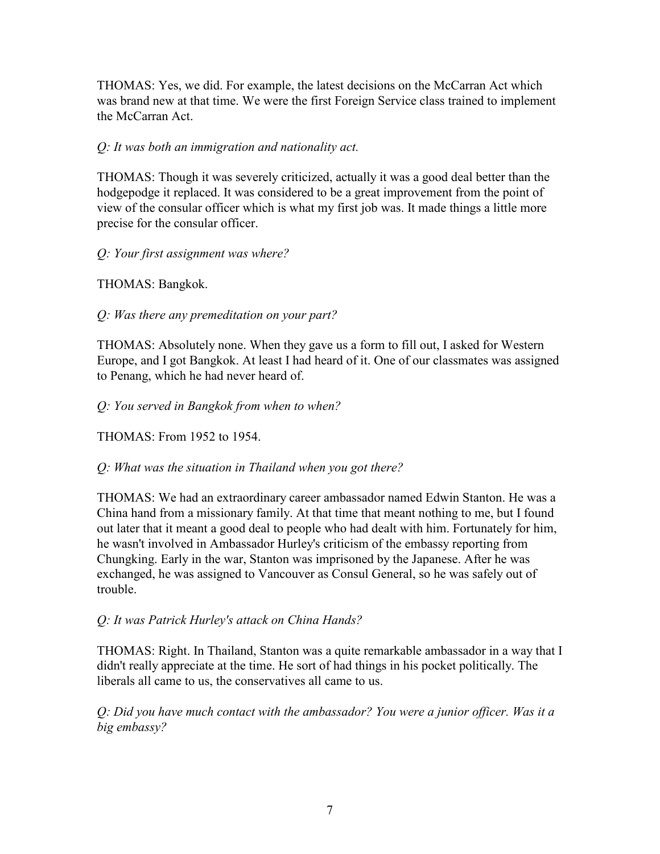THOMAS: Yes, we did. For example, the latest decisions on the McCarran Act which was brand new at that time. We were the first Foreign Service class trained to implement the McCarran Act.

### *Q: It was both an immigration and nationality act.*

THOMAS: Though it was severely criticized, actually it was a good deal better than the hodgepodge it replaced. It was considered to be a great improvement from the point of view of the consular officer which is what my first job was. It made things a little more precise for the consular officer.

### *Q: Your first assignment was where?*

THOMAS: Bangkok.

## *Q: Was there any premeditation on your part?*

THOMAS: Absolutely none. When they gave us a form to fill out, I asked for Western Europe, and I got Bangkok. At least I had heard of it. One of our classmates was assigned to Penang, which he had never heard of.

*Q: You served in Bangkok from when to when?* 

THOMAS: From 1952 to 1954.

#### *Q: What was the situation in Thailand when you got there?*

THOMAS: We had an extraordinary career ambassador named Edwin Stanton. He was a China hand from a missionary family. At that time that meant nothing to me, but I found out later that it meant a good deal to people who had dealt with him. Fortunately for him, he wasn't involved in Ambassador Hurley's criticism of the embassy reporting from Chungking. Early in the war, Stanton was imprisoned by the Japanese. After he was exchanged, he was assigned to Vancouver as Consul General, so he was safely out of trouble.

#### *Q: It was Patrick Hurley's attack on China Hands?*

THOMAS: Right. In Thailand, Stanton was a quite remarkable ambassador in a way that I didn't really appreciate at the time. He sort of had things in his pocket politically. The liberals all came to us, the conservatives all came to us.

*Q: Did you have much contact with the ambassador? You were a junior officer. Was it a big embassy?*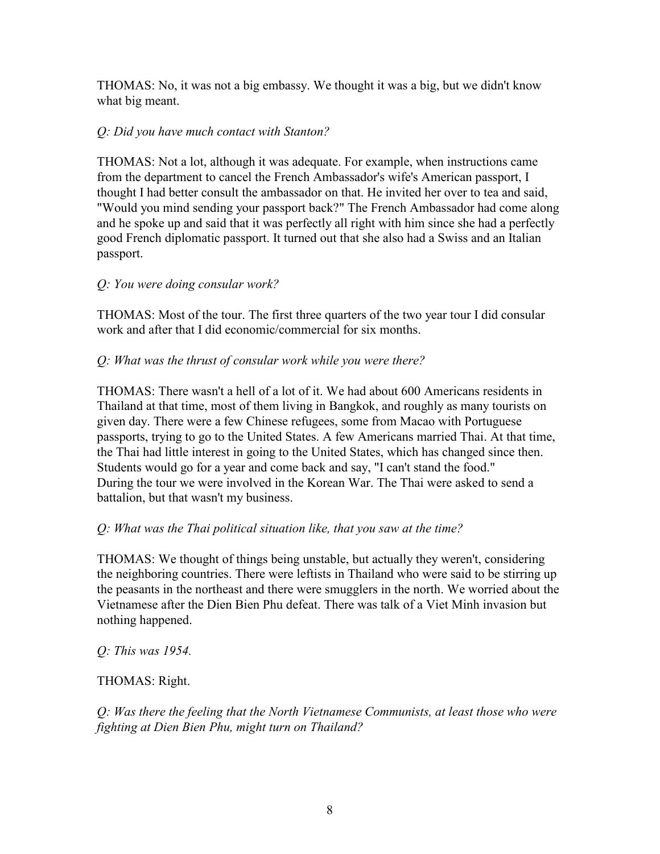THOMAS: No, it was not a big embassy. We thought it was a big, but we didn't know what big meant.

## *Q: Did you have much contact with Stanton?*

THOMAS: Not a lot, although it was adequate. For example, when instructions came from the department to cancel the French Ambassador's wife's American passport, I thought I had better consult the ambassador on that. He invited her over to tea and said, "Would you mind sending your passport back?" The French Ambassador had come along and he spoke up and said that it was perfectly all right with him since she had a perfectly good French diplomatic passport. It turned out that she also had a Swiss and an Italian passport.

### *Q: You were doing consular work?*

THOMAS: Most of the tour. The first three quarters of the two year tour I did consular work and after that I did economic/commercial for six months.

### *Q: What was the thrust of consular work while you were there?*

THOMAS: There wasn't a hell of a lot of it. We had about 600 Americans residents in Thailand at that time, most of them living in Bangkok, and roughly as many tourists on given day. There were a few Chinese refugees, some from Macao with Portuguese passports, trying to go to the United States. A few Americans married Thai. At that time, the Thai had little interest in going to the United States, which has changed since then. Students would go for a year and come back and say, "I can't stand the food." During the tour we were involved in the Korean War. The Thai were asked to send a battalion, but that wasn't my business.

## *Q: What was the Thai political situation like, that you saw at the time?*

THOMAS: We thought of things being unstable, but actually they weren't, considering the neighboring countries. There were leftists in Thailand who were said to be stirring up the peasants in the northeast and there were smugglers in the north. We worried about the Vietnamese after the Dien Bien Phu defeat. There was talk of a Viet Minh invasion but nothing happened.

*Q: This was 1954.* 

#### THOMAS: Right.

*Q: Was there the feeling that the North Vietnamese Communists, at least those who were fighting at Dien Bien Phu, might turn on Thailand?*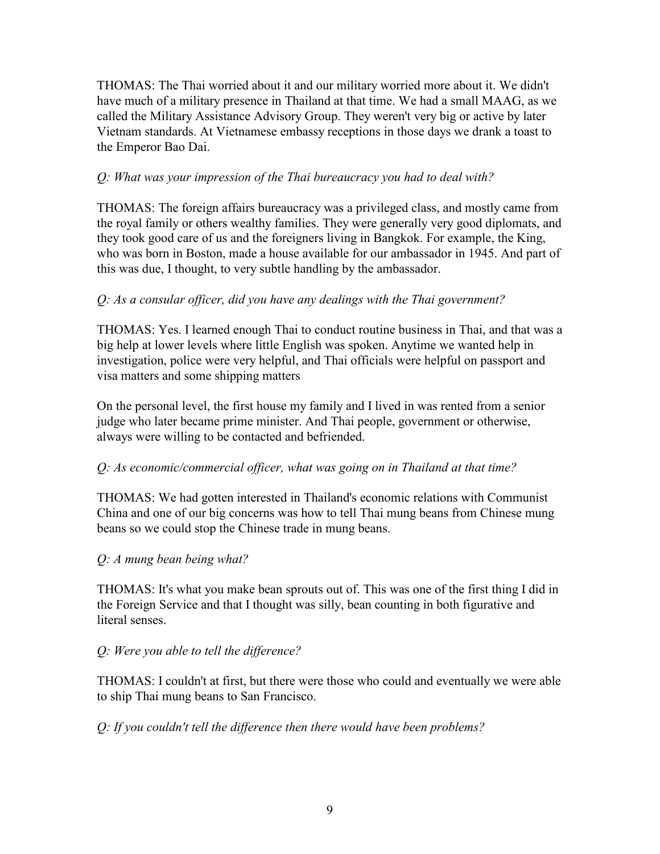THOMAS: The Thai worried about it and our military worried more about it. We didn't have much of a military presence in Thailand at that time. We had a small MAAG, as we called the Military Assistance Advisory Group. They weren't very big or active by later Vietnam standards. At Vietnamese embassy receptions in those days we drank a toast to the Emperor Bao Dai.

### *Q: What was your impression of the Thai bureaucracy you had to deal with?*

THOMAS: The foreign affairs bureaucracy was a privileged class, and mostly came from the royal family or others wealthy families. They were generally very good diplomats, and they took good care of us and the foreigners living in Bangkok. For example, the King, who was born in Boston, made a house available for our ambassador in 1945. And part of this was due, I thought, to very subtle handling by the ambassador.

### *Q: As a consular officer, did you have any dealings with the Thai government?*

THOMAS: Yes. I learned enough Thai to conduct routine business in Thai, and that was a big help at lower levels where little English was spoken. Anytime we wanted help in investigation, police were very helpful, and Thai officials were helpful on passport and visa matters and some shipping matters

On the personal level, the first house my family and I lived in was rented from a senior judge who later became prime minister. And Thai people, government or otherwise, always were willing to be contacted and befriended.

#### *Q: As economic/commercial officer, what was going on in Thailand at that time?*

THOMAS: We had gotten interested in Thailand's economic relations with Communist China and one of our big concerns was how to tell Thai mung beans from Chinese mung beans so we could stop the Chinese trade in mung beans.

#### *Q: A mung bean being what?*

THOMAS: It's what you make bean sprouts out of. This was one of the first thing I did in the Foreign Service and that I thought was silly, bean counting in both figurative and literal senses.

## *Q: Were you able to tell the difference?*

THOMAS: I couldn't at first, but there were those who could and eventually we were able to ship Thai mung beans to San Francisco.

*Q: If you couldn't tell the difference then there would have been problems?*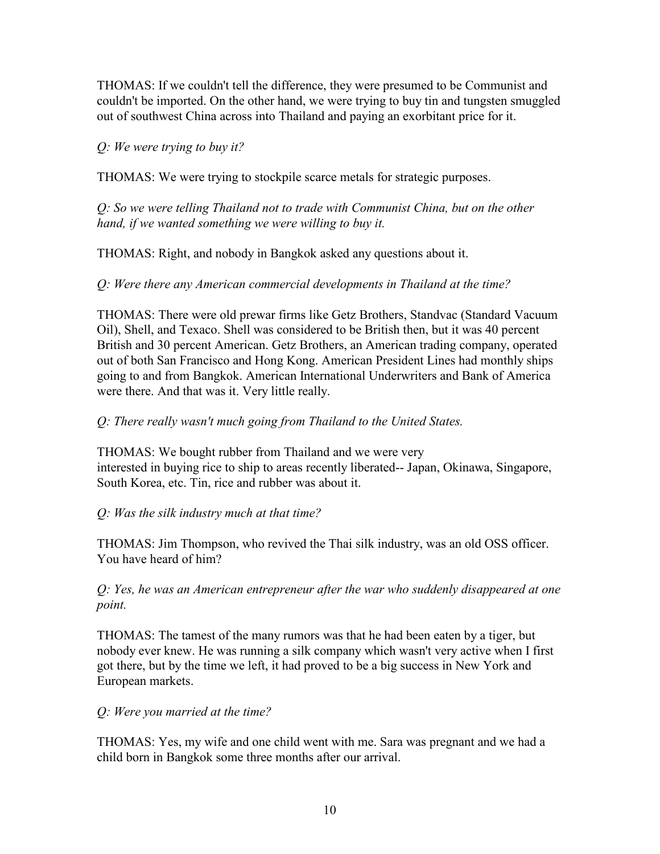THOMAS: If we couldn't tell the difference, they were presumed to be Communist and couldn't be imported. On the other hand, we were trying to buy tin and tungsten smuggled out of southwest China across into Thailand and paying an exorbitant price for it.

*Q: We were trying to buy it?* 

THOMAS: We were trying to stockpile scarce metals for strategic purposes.

*Q: So we were telling Thailand not to trade with Communist China, but on the other hand, if we wanted something we were willing to buy it.* 

THOMAS: Right, and nobody in Bangkok asked any questions about it.

*Q: Were there any American commercial developments in Thailand at the time?* 

THOMAS: There were old prewar firms like Getz Brothers, Standvac (Standard Vacuum Oil), Shell, and Texaco. Shell was considered to be British then, but it was 40 percent British and 30 percent American. Getz Brothers, an American trading company, operated out of both San Francisco and Hong Kong. American President Lines had monthly ships going to and from Bangkok. American International Underwriters and Bank of America were there. And that was it. Very little really.

## *Q: There really wasn't much going from Thailand to the United States.*

THOMAS: We bought rubber from Thailand and we were very interested in buying rice to ship to areas recently liberated-- Japan, Okinawa, Singapore, South Korea, etc. Tin, rice and rubber was about it.

## *Q: Was the silk industry much at that time?*

THOMAS: Jim Thompson, who revived the Thai silk industry, was an old OSS officer. You have heard of him?

### *Q: Yes, he was an American entrepreneur after the war who suddenly disappeared at one point.*

THOMAS: The tamest of the many rumors was that he had been eaten by a tiger, but nobody ever knew. He was running a silk company which wasn't very active when I first got there, but by the time we left, it had proved to be a big success in New York and European markets.

#### *Q: Were you married at the time?*

THOMAS: Yes, my wife and one child went with me. Sara was pregnant and we had a child born in Bangkok some three months after our arrival.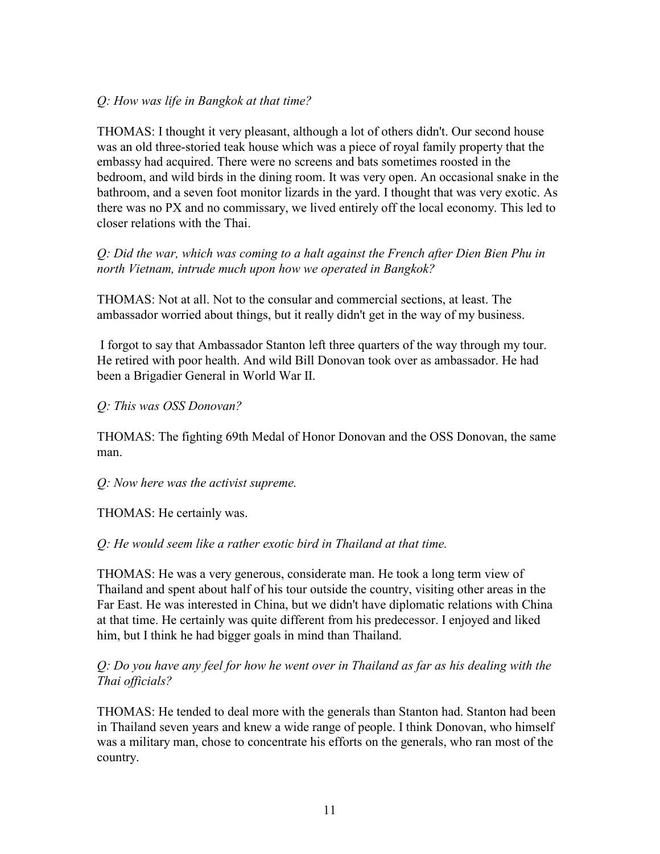### *Q: How was life in Bangkok at that time?*

THOMAS: I thought it very pleasant, although a lot of others didn't. Our second house was an old three-storied teak house which was a piece of royal family property that the embassy had acquired. There were no screens and bats sometimes roosted in the bedroom, and wild birds in the dining room. It was very open. An occasional snake in the bathroom, and a seven foot monitor lizards in the yard. I thought that was very exotic. As there was no PX and no commissary, we lived entirely off the local economy. This led to closer relations with the Thai.

### *Q: Did the war, which was coming to a halt against the French after Dien Bien Phu in north Vietnam, intrude much upon how we operated in Bangkok?*

THOMAS: Not at all. Not to the consular and commercial sections, at least. The ambassador worried about things, but it really didn't get in the way of my business.

 I forgot to say that Ambassador Stanton left three quarters of the way through my tour. He retired with poor health. And wild Bill Donovan took over as ambassador. He had been a Brigadier General in World War II.

### *Q: This was OSS Donovan?*

THOMAS: The fighting 69th Medal of Honor Donovan and the OSS Donovan, the same man.

#### *Q: Now here was the activist supreme.*

THOMAS: He certainly was.

#### *Q: He would seem like a rather exotic bird in Thailand at that time.*

THOMAS: He was a very generous, considerate man. He took a long term view of Thailand and spent about half of his tour outside the country, visiting other areas in the Far East. He was interested in China, but we didn't have diplomatic relations with China at that time. He certainly was quite different from his predecessor. I enjoyed and liked him, but I think he had bigger goals in mind than Thailand.

#### *Q: Do you have any feel for how he went over in Thailand as far as his dealing with the Thai officials?*

THOMAS: He tended to deal more with the generals than Stanton had. Stanton had been in Thailand seven years and knew a wide range of people. I think Donovan, who himself was a military man, chose to concentrate his efforts on the generals, who ran most of the country.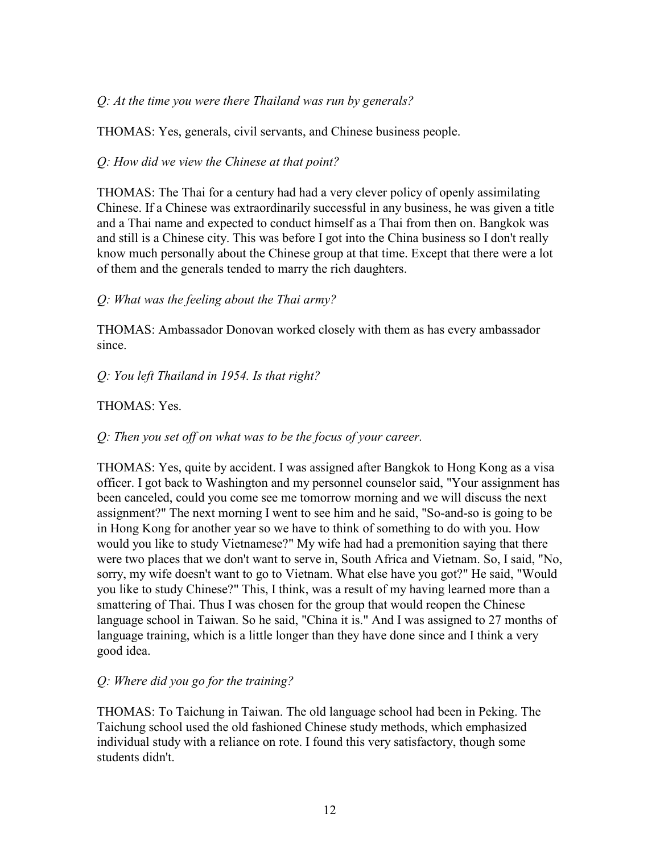### *Q: At the time you were there Thailand was run by generals?*

THOMAS: Yes, generals, civil servants, and Chinese business people.

### *Q: How did we view the Chinese at that point?*

THOMAS: The Thai for a century had had a very clever policy of openly assimilating Chinese. If a Chinese was extraordinarily successful in any business, he was given a title and a Thai name and expected to conduct himself as a Thai from then on. Bangkok was and still is a Chinese city. This was before I got into the China business so I don't really know much personally about the Chinese group at that time. Except that there were a lot of them and the generals tended to marry the rich daughters.

## *Q: What was the feeling about the Thai army?*

THOMAS: Ambassador Donovan worked closely with them as has every ambassador since.

## *Q: You left Thailand in 1954. Is that right?*

### THOMAS: Yes.

## *Q: Then you set off on what was to be the focus of your career.*

THOMAS: Yes, quite by accident. I was assigned after Bangkok to Hong Kong as a visa officer. I got back to Washington and my personnel counselor said, "Your assignment has been canceled, could you come see me tomorrow morning and we will discuss the next assignment?" The next morning I went to see him and he said, "So-and-so is going to be in Hong Kong for another year so we have to think of something to do with you. How would you like to study Vietnamese?" My wife had had a premonition saying that there were two places that we don't want to serve in, South Africa and Vietnam. So, I said, "No, sorry, my wife doesn't want to go to Vietnam. What else have you got?" He said, "Would you like to study Chinese?" This, I think, was a result of my having learned more than a smattering of Thai. Thus I was chosen for the group that would reopen the Chinese language school in Taiwan. So he said, "China it is." And I was assigned to 27 months of language training, which is a little longer than they have done since and I think a very good idea.

## *Q: Where did you go for the training?*

THOMAS: To Taichung in Taiwan. The old language school had been in Peking. The Taichung school used the old fashioned Chinese study methods, which emphasized individual study with a reliance on rote. I found this very satisfactory, though some students didn't.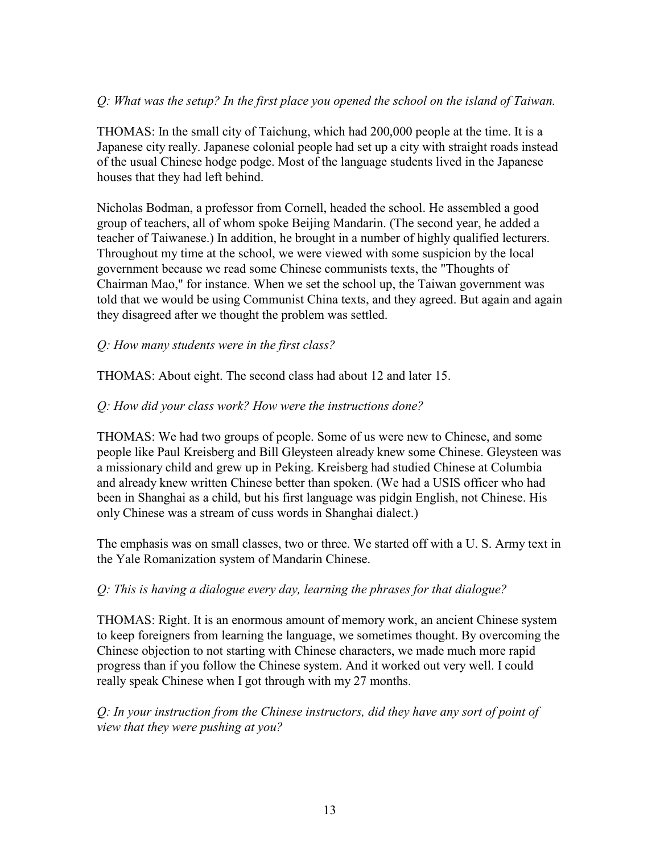### *Q: What was the setup? In the first place you opened the school on the island of Taiwan.*

THOMAS: In the small city of Taichung, which had 200,000 people at the time. It is a Japanese city really. Japanese colonial people had set up a city with straight roads instead of the usual Chinese hodge podge. Most of the language students lived in the Japanese houses that they had left behind.

Nicholas Bodman, a professor from Cornell, headed the school. He assembled a good group of teachers, all of whom spoke Beijing Mandarin. (The second year, he added a teacher of Taiwanese.) In addition, he brought in a number of highly qualified lecturers. Throughout my time at the school, we were viewed with some suspicion by the local government because we read some Chinese communists texts, the "Thoughts of Chairman Mao," for instance. When we set the school up, the Taiwan government was told that we would be using Communist China texts, and they agreed. But again and again they disagreed after we thought the problem was settled.

#### *Q: How many students were in the first class?*

THOMAS: About eight. The second class had about 12 and later 15.

#### *Q: How did your class work? How were the instructions done?*

THOMAS: We had two groups of people. Some of us were new to Chinese, and some people like Paul Kreisberg and Bill Gleysteen already knew some Chinese. Gleysteen was a missionary child and grew up in Peking. Kreisberg had studied Chinese at Columbia and already knew written Chinese better than spoken. (We had a USIS officer who had been in Shanghai as a child, but his first language was pidgin English, not Chinese. His only Chinese was a stream of cuss words in Shanghai dialect.)

The emphasis was on small classes, two or three. We started off with a U. S. Army text in the Yale Romanization system of Mandarin Chinese.

#### *Q: This is having a dialogue every day, learning the phrases for that dialogue?*

THOMAS: Right. It is an enormous amount of memory work, an ancient Chinese system to keep foreigners from learning the language, we sometimes thought. By overcoming the Chinese objection to not starting with Chinese characters, we made much more rapid progress than if you follow the Chinese system. And it worked out very well. I could really speak Chinese when I got through with my 27 months.

*Q: In your instruction from the Chinese instructors, did they have any sort of point of view that they were pushing at you?*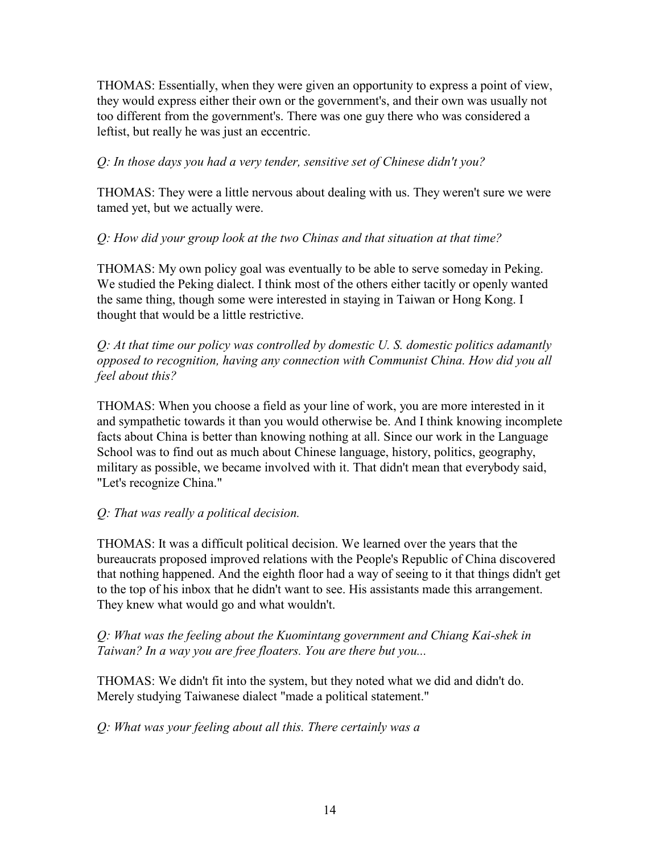THOMAS: Essentially, when they were given an opportunity to express a point of view, they would express either their own or the government's, and their own was usually not too different from the government's. There was one guy there who was considered a leftist, but really he was just an eccentric.

### *Q: In those days you had a very tender, sensitive set of Chinese didn't you?*

THOMAS: They were a little nervous about dealing with us. They weren't sure we were tamed yet, but we actually were.

### *Q: How did your group look at the two Chinas and that situation at that time?*

THOMAS: My own policy goal was eventually to be able to serve someday in Peking. We studied the Peking dialect. I think most of the others either tacitly or openly wanted the same thing, though some were interested in staying in Taiwan or Hong Kong. I thought that would be a little restrictive.

*Q: At that time our policy was controlled by domestic U. S. domestic politics adamantly opposed to recognition, having any connection with Communist China. How did you all feel about this?* 

THOMAS: When you choose a field as your line of work, you are more interested in it and sympathetic towards it than you would otherwise be. And I think knowing incomplete facts about China is better than knowing nothing at all. Since our work in the Language School was to find out as much about Chinese language, history, politics, geography, military as possible, we became involved with it. That didn't mean that everybody said, "Let's recognize China."

## *Q: That was really a political decision.*

THOMAS: It was a difficult political decision. We learned over the years that the bureaucrats proposed improved relations with the People's Republic of China discovered that nothing happened. And the eighth floor had a way of seeing to it that things didn't get to the top of his inbox that he didn't want to see. His assistants made this arrangement. They knew what would go and what wouldn't.

### *Q: What was the feeling about the Kuomintang government and Chiang Kai-shek in Taiwan? In a way you are free floaters. You are there but you...*

THOMAS: We didn't fit into the system, but they noted what we did and didn't do. Merely studying Taiwanese dialect "made a political statement."

*Q: What was your feeling about all this. There certainly was a*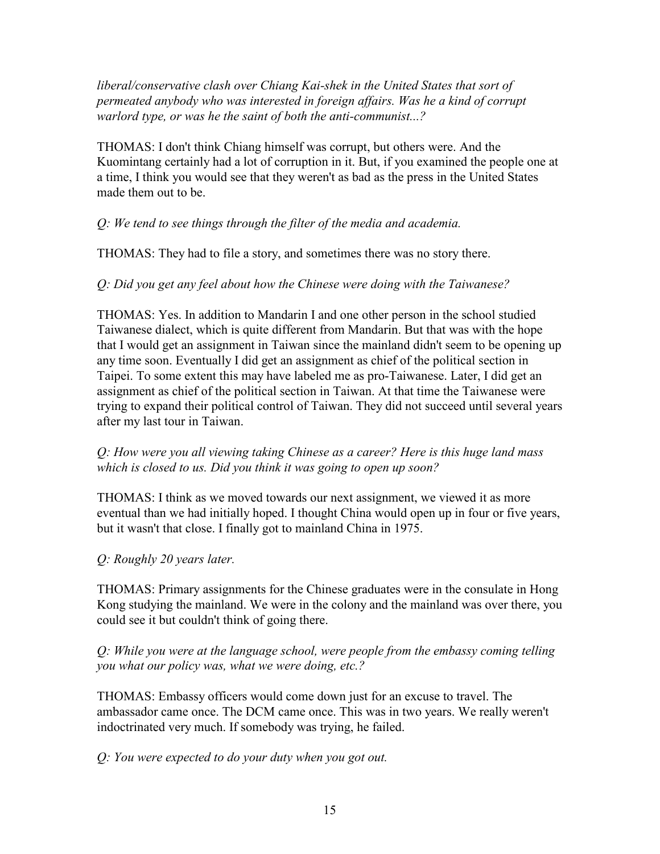*liberal/conservative clash over Chiang Kai-shek in the United States that sort of permeated anybody who was interested in foreign affairs. Was he a kind of corrupt warlord type, or was he the saint of both the anti-communist...?*

THOMAS: I don't think Chiang himself was corrupt, but others were. And the Kuomintang certainly had a lot of corruption in it. But, if you examined the people one at a time, I think you would see that they weren't as bad as the press in the United States made them out to be.

### *Q: We tend to see things through the filter of the media and academia.*

THOMAS: They had to file a story, and sometimes there was no story there.

### *Q: Did you get any feel about how the Chinese were doing with the Taiwanese?*

THOMAS: Yes. In addition to Mandarin I and one other person in the school studied Taiwanese dialect, which is quite different from Mandarin. But that was with the hope that I would get an assignment in Taiwan since the mainland didn't seem to be opening up any time soon. Eventually I did get an assignment as chief of the political section in Taipei. To some extent this may have labeled me as pro-Taiwanese. Later, I did get an assignment as chief of the political section in Taiwan. At that time the Taiwanese were trying to expand their political control of Taiwan. They did not succeed until several years after my last tour in Taiwan.

#### *Q: How were you all viewing taking Chinese as a career? Here is this huge land mass which is closed to us. Did you think it was going to open up soon?*

THOMAS: I think as we moved towards our next assignment, we viewed it as more eventual than we had initially hoped. I thought China would open up in four or five years, but it wasn't that close. I finally got to mainland China in 1975.

## *Q: Roughly 20 years later.*

THOMAS: Primary assignments for the Chinese graduates were in the consulate in Hong Kong studying the mainland. We were in the colony and the mainland was over there, you could see it but couldn't think of going there.

#### *Q: While you were at the language school, were people from the embassy coming telling you what our policy was, what we were doing, etc.?*

THOMAS: Embassy officers would come down just for an excuse to travel. The ambassador came once. The DCM came once. This was in two years. We really weren't indoctrinated very much. If somebody was trying, he failed.

## *Q: You were expected to do your duty when you got out.*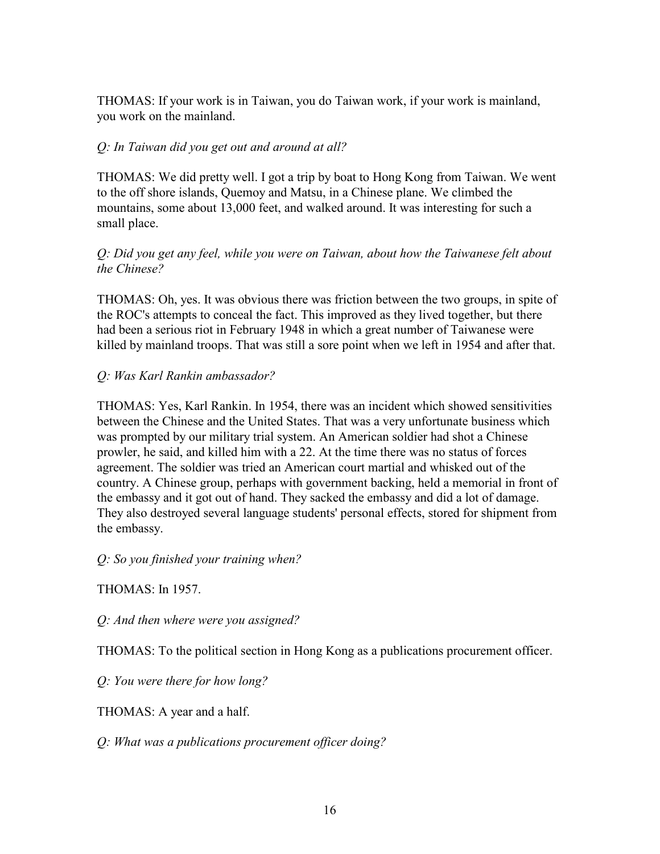THOMAS: If your work is in Taiwan, you do Taiwan work, if your work is mainland, you work on the mainland.

### *Q: In Taiwan did you get out and around at all?*

THOMAS: We did pretty well. I got a trip by boat to Hong Kong from Taiwan. We went to the off shore islands, Quemoy and Matsu, in a Chinese plane. We climbed the mountains, some about 13,000 feet, and walked around. It was interesting for such a small place.

### *Q: Did you get any feel, while you were on Taiwan, about how the Taiwanese felt about the Chinese?*

THOMAS: Oh, yes. It was obvious there was friction between the two groups, in spite of the ROC's attempts to conceal the fact. This improved as they lived together, but there had been a serious riot in February 1948 in which a great number of Taiwanese were killed by mainland troops. That was still a sore point when we left in 1954 and after that.

### *Q: Was Karl Rankin ambassador?*

THOMAS: Yes, Karl Rankin. In 1954, there was an incident which showed sensitivities between the Chinese and the United States. That was a very unfortunate business which was prompted by our military trial system. An American soldier had shot a Chinese prowler, he said, and killed him with a 22. At the time there was no status of forces agreement. The soldier was tried an American court martial and whisked out of the country. A Chinese group, perhaps with government backing, held a memorial in front of the embassy and it got out of hand. They sacked the embassy and did a lot of damage. They also destroyed several language students' personal effects, stored for shipment from the embassy.

*Q: So you finished your training when?* 

THOMAS: In 1957.

*Q: And then where were you assigned?* 

THOMAS: To the political section in Hong Kong as a publications procurement officer.

*Q: You were there for how long?* 

THOMAS: A year and a half.

*Q: What was a publications procurement officer doing?*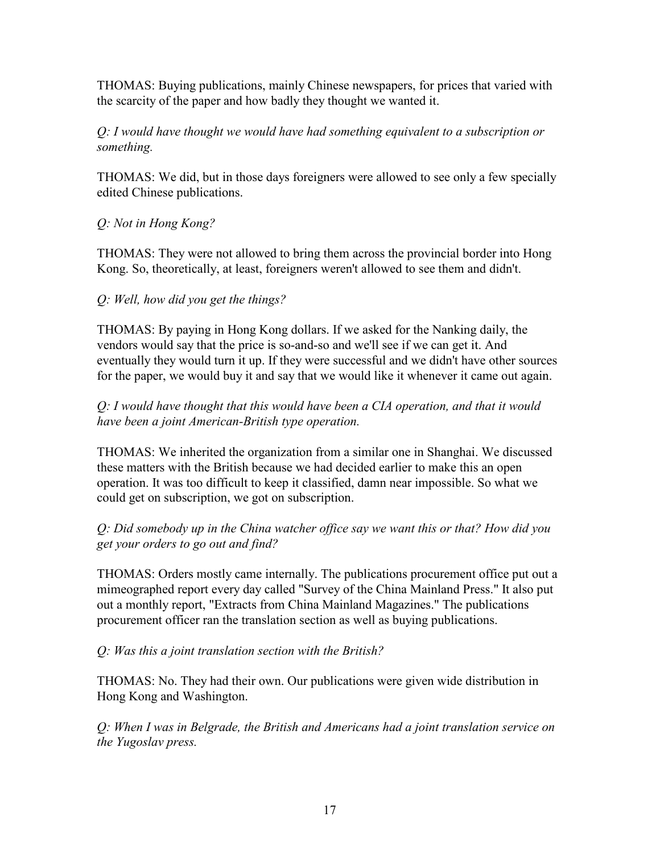THOMAS: Buying publications, mainly Chinese newspapers, for prices that varied with the scarcity of the paper and how badly they thought we wanted it.

## *Q: I would have thought we would have had something equivalent to a subscription or something.*

THOMAS: We did, but in those days foreigners were allowed to see only a few specially edited Chinese publications.

# *Q: Not in Hong Kong?*

THOMAS: They were not allowed to bring them across the provincial border into Hong Kong. So, theoretically, at least, foreigners weren't allowed to see them and didn't.

## *Q: Well, how did you get the things?*

THOMAS: By paying in Hong Kong dollars. If we asked for the Nanking daily, the vendors would say that the price is so-and-so and we'll see if we can get it. And eventually they would turn it up. If they were successful and we didn't have other sources for the paper, we would buy it and say that we would like it whenever it came out again.

## *Q: I would have thought that this would have been a CIA operation, and that it would have been a joint American-British type operation.*

THOMAS: We inherited the organization from a similar one in Shanghai. We discussed these matters with the British because we had decided earlier to make this an open operation. It was too difficult to keep it classified, damn near impossible. So what we could get on subscription, we got on subscription.

## *Q: Did somebody up in the China watcher office say we want this or that? How did you get your orders to go out and find?*

THOMAS: Orders mostly came internally. The publications procurement office put out a mimeographed report every day called "Survey of the China Mainland Press." It also put out a monthly report, "Extracts from China Mainland Magazines." The publications procurement officer ran the translation section as well as buying publications.

## *Q: Was this a joint translation section with the British?*

THOMAS: No. They had their own. Our publications were given wide distribution in Hong Kong and Washington.

*Q: When I was in Belgrade, the British and Americans had a joint translation service on the Yugoslav press.*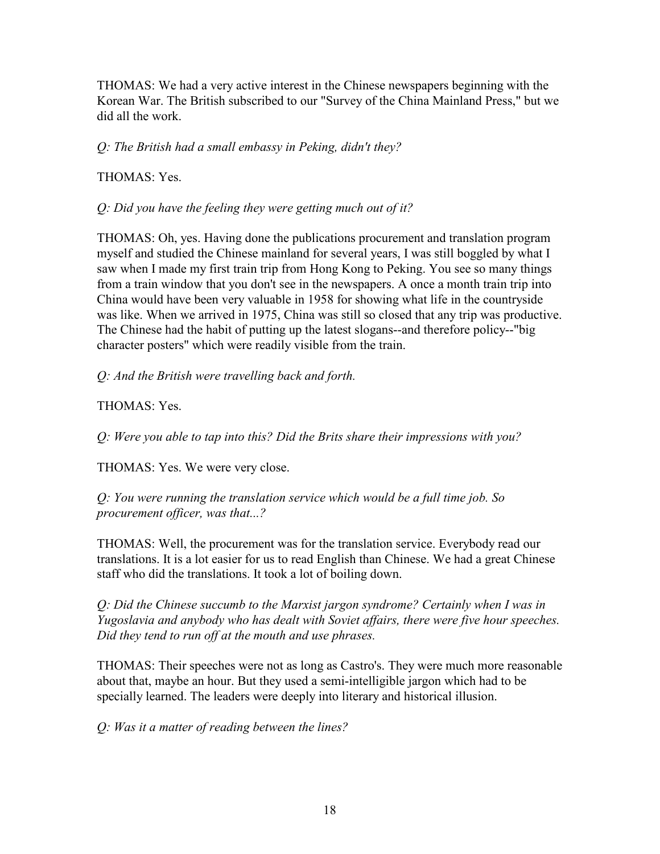THOMAS: We had a very active interest in the Chinese newspapers beginning with the Korean War. The British subscribed to our "Survey of the China Mainland Press," but we did all the work.

*Q: The British had a small embassy in Peking, didn't they?* 

THOMAS: Yes.

*Q: Did you have the feeling they were getting much out of it?* 

THOMAS: Oh, yes. Having done the publications procurement and translation program myself and studied the Chinese mainland for several years, I was still boggled by what I saw when I made my first train trip from Hong Kong to Peking. You see so many things from a train window that you don't see in the newspapers. A once a month train trip into China would have been very valuable in 1958 for showing what life in the countryside was like. When we arrived in 1975, China was still so closed that any trip was productive. The Chinese had the habit of putting up the latest slogans--and therefore policy--"big character posters" which were readily visible from the train.

*Q: And the British were travelling back and forth.* 

THOMAS: Yes.

*Q: Were you able to tap into this? Did the Brits share their impressions with you?* 

THOMAS: Yes. We were very close.

*Q: You were running the translation service which would be a full time job. So procurement officer, was that...?* 

THOMAS: Well, the procurement was for the translation service. Everybody read our translations. It is a lot easier for us to read English than Chinese. We had a great Chinese staff who did the translations. It took a lot of boiling down.

*Q: Did the Chinese succumb to the Marxist jargon syndrome? Certainly when I was in Yugoslavia and anybody who has dealt with Soviet affairs, there were five hour speeches. Did they tend to run off at the mouth and use phrases.* 

THOMAS: Their speeches were not as long as Castro's. They were much more reasonable about that, maybe an hour. But they used a semi-intelligible jargon which had to be specially learned. The leaders were deeply into literary and historical illusion.

*Q: Was it a matter of reading between the lines?*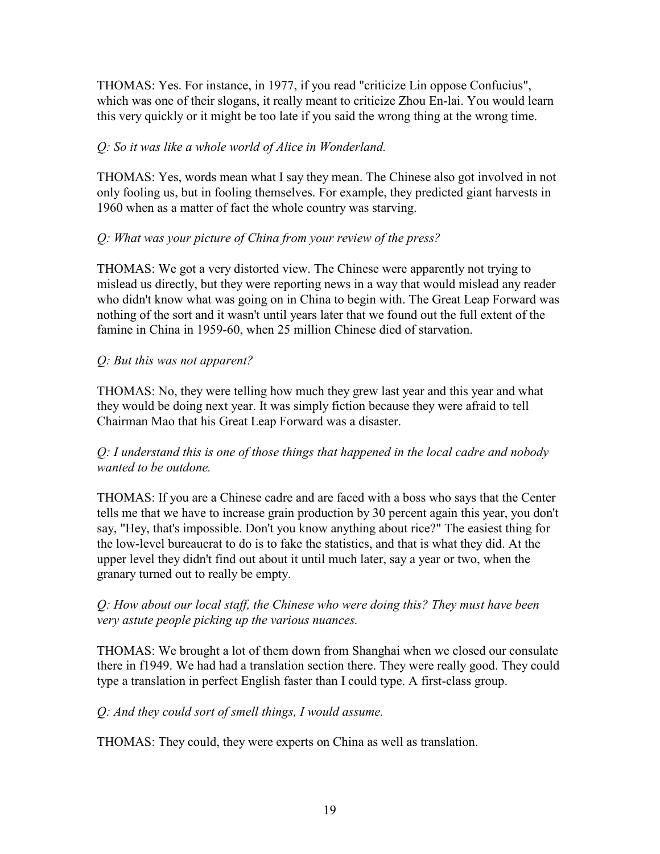THOMAS: Yes. For instance, in 1977, if you read "criticize Lin oppose Confucius", which was one of their slogans, it really meant to criticize Zhou En-lai. You would learn this very quickly or it might be too late if you said the wrong thing at the wrong time.

### *Q: So it was like a whole world of Alice in Wonderland.*

THOMAS: Yes, words mean what I say they mean. The Chinese also got involved in not only fooling us, but in fooling themselves. For example, they predicted giant harvests in 1960 when as a matter of fact the whole country was starving.

#### *Q: What was your picture of China from your review of the press?*

THOMAS: We got a very distorted view. The Chinese were apparently not trying to mislead us directly, but they were reporting news in a way that would mislead any reader who didn't know what was going on in China to begin with. The Great Leap Forward was nothing of the sort and it wasn't until years later that we found out the full extent of the famine in China in 1959-60, when 25 million Chinese died of starvation.

### *Q: But this was not apparent?*

THOMAS: No, they were telling how much they grew last year and this year and what they would be doing next year. It was simply fiction because they were afraid to tell Chairman Mao that his Great Leap Forward was a disaster.

### *Q: I understand this is one of those things that happened in the local cadre and nobody wanted to be outdone.*

THOMAS: If you are a Chinese cadre and are faced with a boss who says that the Center tells me that we have to increase grain production by 30 percent again this year, you don't say, "Hey, that's impossible. Don't you know anything about rice?" The easiest thing for the low-level bureaucrat to do is to fake the statistics, and that is what they did. At the upper level they didn't find out about it until much later, say a year or two, when the granary turned out to really be empty.

### *Q: How about our local staff, the Chinese who were doing this? They must have been very astute people picking up the various nuances.*

THOMAS: We brought a lot of them down from Shanghai when we closed our consulate there in f1949. We had had a translation section there. They were really good. They could type a translation in perfect English faster than I could type. A first-class group.

## *Q: And they could sort of smell things, I would assume.*

THOMAS: They could, they were experts on China as well as translation.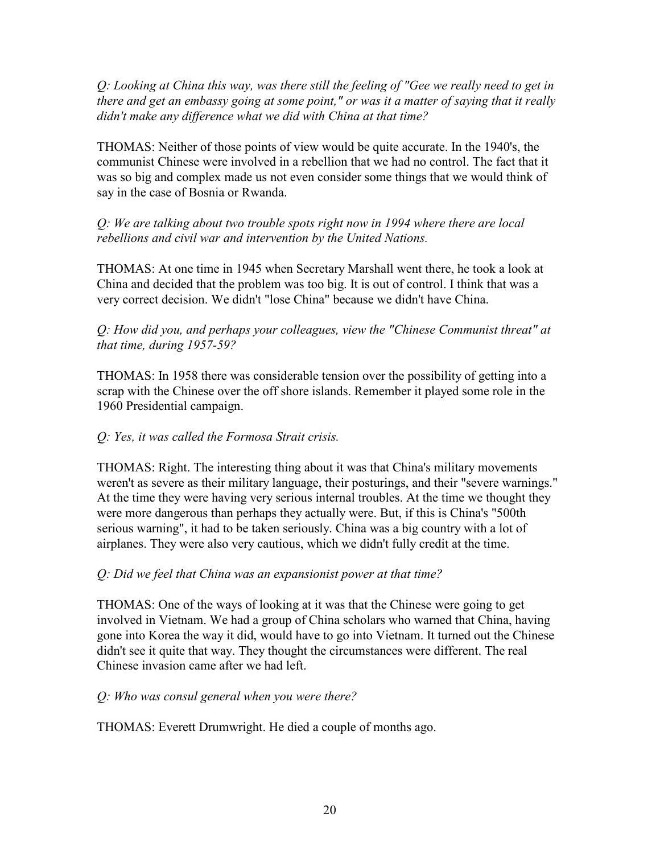*Q: Looking at China this way, was there still the feeling of "Gee we really need to get in there and get an embassy going at some point," or was it a matter of saying that it really didn't make any difference what we did with China at that time?* 

THOMAS: Neither of those points of view would be quite accurate. In the 1940's, the communist Chinese were involved in a rebellion that we had no control. The fact that it was so big and complex made us not even consider some things that we would think of say in the case of Bosnia or Rwanda.

## *Q: We are talking about two trouble spots right now in 1994 where there are local rebellions and civil war and intervention by the United Nations.*

THOMAS: At one time in 1945 when Secretary Marshall went there, he took a look at China and decided that the problem was too big. It is out of control. I think that was a very correct decision. We didn't "lose China" because we didn't have China.

### *Q: How did you, and perhaps your colleagues, view the "Chinese Communist threat" at that time, during 1957-59?*

THOMAS: In 1958 there was considerable tension over the possibility of getting into a scrap with the Chinese over the off shore islands. Remember it played some role in the 1960 Presidential campaign.

## *Q: Yes, it was called the Formosa Strait crisis.*

THOMAS: Right. The interesting thing about it was that China's military movements weren't as severe as their military language, their posturings, and their "severe warnings." At the time they were having very serious internal troubles. At the time we thought they were more dangerous than perhaps they actually were. But, if this is China's "500th serious warning", it had to be taken seriously. China was a big country with a lot of airplanes. They were also very cautious, which we didn't fully credit at the time.

# *Q: Did we feel that China was an expansionist power at that time?*

THOMAS: One of the ways of looking at it was that the Chinese were going to get involved in Vietnam. We had a group of China scholars who warned that China, having gone into Korea the way it did, would have to go into Vietnam. It turned out the Chinese didn't see it quite that way. They thought the circumstances were different. The real Chinese invasion came after we had left.

# *Q: Who was consul general when you were there?*

THOMAS: Everett Drumwright. He died a couple of months ago.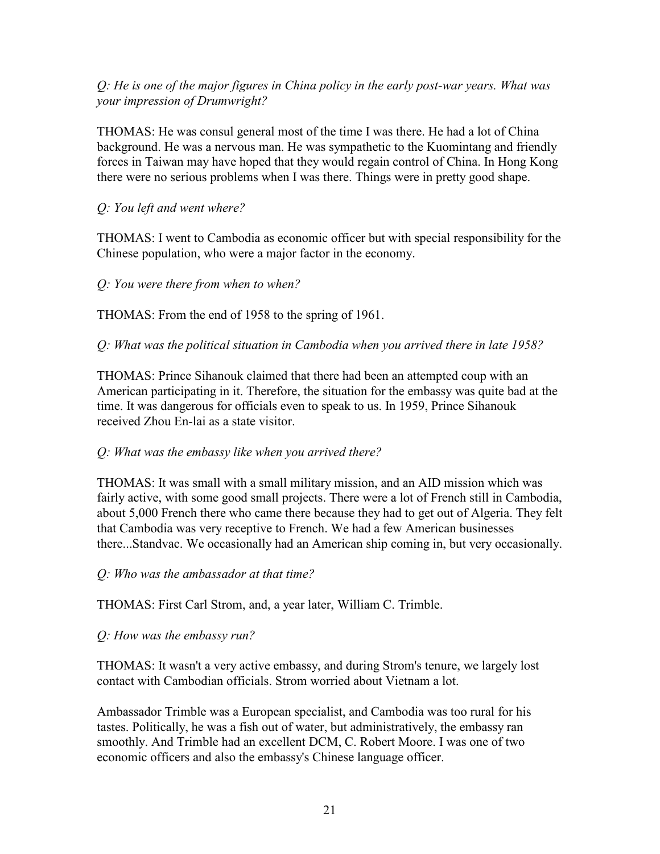### *Q: He is one of the major figures in China policy in the early post-war years. What was your impression of Drumwright?*

THOMAS: He was consul general most of the time I was there. He had a lot of China background. He was a nervous man. He was sympathetic to the Kuomintang and friendly forces in Taiwan may have hoped that they would regain control of China. In Hong Kong there were no serious problems when I was there. Things were in pretty good shape.

### *Q: You left and went where?*

THOMAS: I went to Cambodia as economic officer but with special responsibility for the Chinese population, who were a major factor in the economy.

*Q: You were there from when to when?* 

THOMAS: From the end of 1958 to the spring of 1961.

*Q: What was the political situation in Cambodia when you arrived there in late 1958?* 

THOMAS: Prince Sihanouk claimed that there had been an attempted coup with an American participating in it. Therefore, the situation for the embassy was quite bad at the time. It was dangerous for officials even to speak to us. In 1959, Prince Sihanouk received Zhou En-lai as a state visitor.

#### *Q: What was the embassy like when you arrived there?*

THOMAS: It was small with a small military mission, and an AID mission which was fairly active, with some good small projects. There were a lot of French still in Cambodia, about 5,000 French there who came there because they had to get out of Algeria. They felt that Cambodia was very receptive to French. We had a few American businesses there...Standvac. We occasionally had an American ship coming in, but very occasionally.

*Q: Who was the ambassador at that time?* 

THOMAS: First Carl Strom, and, a year later, William C. Trimble.

#### *Q: How was the embassy run?*

THOMAS: It wasn't a very active embassy, and during Strom's tenure, we largely lost contact with Cambodian officials. Strom worried about Vietnam a lot.

Ambassador Trimble was a European specialist, and Cambodia was too rural for his tastes. Politically, he was a fish out of water, but administratively, the embassy ran smoothly. And Trimble had an excellent DCM, C. Robert Moore. I was one of two economic officers and also the embassy's Chinese language officer.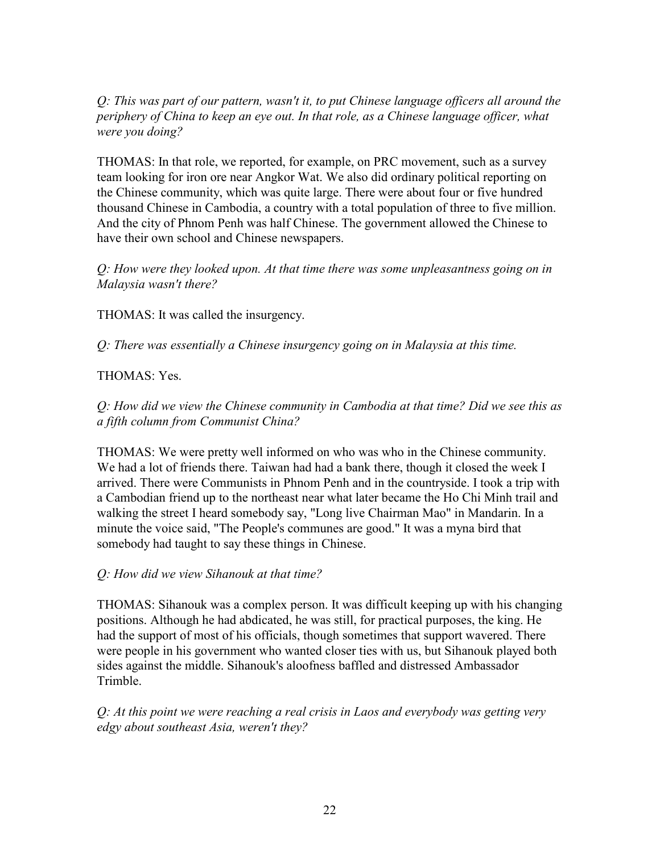*Q: This was part of our pattern, wasn't it, to put Chinese language officers all around the periphery of China to keep an eye out. In that role, as a Chinese language officer, what were you doing?* 

THOMAS: In that role, we reported, for example, on PRC movement, such as a survey team looking for iron ore near Angkor Wat. We also did ordinary political reporting on the Chinese community, which was quite large. There were about four or five hundred thousand Chinese in Cambodia, a country with a total population of three to five million. And the city of Phnom Penh was half Chinese. The government allowed the Chinese to have their own school and Chinese newspapers.

*Q: How were they looked upon. At that time there was some unpleasantness going on in Malaysia wasn't there?* 

THOMAS: It was called the insurgency.

*Q: There was essentially a Chinese insurgency going on in Malaysia at this time.* 

### THOMAS: Yes.

*Q: How did we view the Chinese community in Cambodia at that time? Did we see this as a fifth column from Communist China?* 

THOMAS: We were pretty well informed on who was who in the Chinese community. We had a lot of friends there. Taiwan had had a bank there, though it closed the week I arrived. There were Communists in Phnom Penh and in the countryside. I took a trip with a Cambodian friend up to the northeast near what later became the Ho Chi Minh trail and walking the street I heard somebody say, "Long live Chairman Mao" in Mandarin. In a minute the voice said, "The People's communes are good." It was a myna bird that somebody had taught to say these things in Chinese.

#### *Q: How did we view Sihanouk at that time?*

THOMAS: Sihanouk was a complex person. It was difficult keeping up with his changing positions. Although he had abdicated, he was still, for practical purposes, the king. He had the support of most of his officials, though sometimes that support wavered. There were people in his government who wanted closer ties with us, but Sihanouk played both sides against the middle. Sihanouk's aloofness baffled and distressed Ambassador Trimble.

*Q: At this point we were reaching a real crisis in Laos and everybody was getting very edgy about southeast Asia, weren't they?*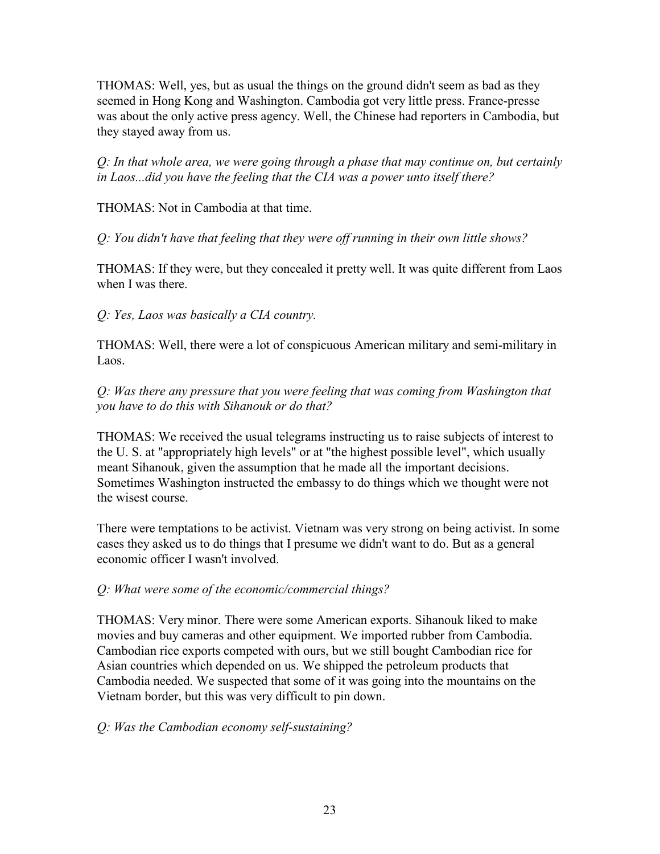THOMAS: Well, yes, but as usual the things on the ground didn't seem as bad as they seemed in Hong Kong and Washington. Cambodia got very little press. France-presse was about the only active press agency. Well, the Chinese had reporters in Cambodia, but they stayed away from us.

*Q: In that whole area, we were going through a phase that may continue on, but certainly in Laos...did you have the feeling that the CIA was a power unto itself there?* 

THOMAS: Not in Cambodia at that time.

*Q: You didn't have that feeling that they were off running in their own little shows?* 

THOMAS: If they were, but they concealed it pretty well. It was quite different from Laos when I was there.

*Q: Yes, Laos was basically a CIA country.* 

THOMAS: Well, there were a lot of conspicuous American military and semi-military in Laos.

*Q: Was there any pressure that you were feeling that was coming from Washington that you have to do this with Sihanouk or do that?* 

THOMAS: We received the usual telegrams instructing us to raise subjects of interest to the U. S. at "appropriately high levels" or at "the highest possible level", which usually meant Sihanouk, given the assumption that he made all the important decisions. Sometimes Washington instructed the embassy to do things which we thought were not the wisest course.

There were temptations to be activist. Vietnam was very strong on being activist. In some cases they asked us to do things that I presume we didn't want to do. But as a general economic officer I wasn't involved.

## *Q: What were some of the economic/commercial things?*

THOMAS: Very minor. There were some American exports. Sihanouk liked to make movies and buy cameras and other equipment. We imported rubber from Cambodia. Cambodian rice exports competed with ours, but we still bought Cambodian rice for Asian countries which depended on us. We shipped the petroleum products that Cambodia needed. We suspected that some of it was going into the mountains on the Vietnam border, but this was very difficult to pin down.

## *Q: Was the Cambodian economy self-sustaining?*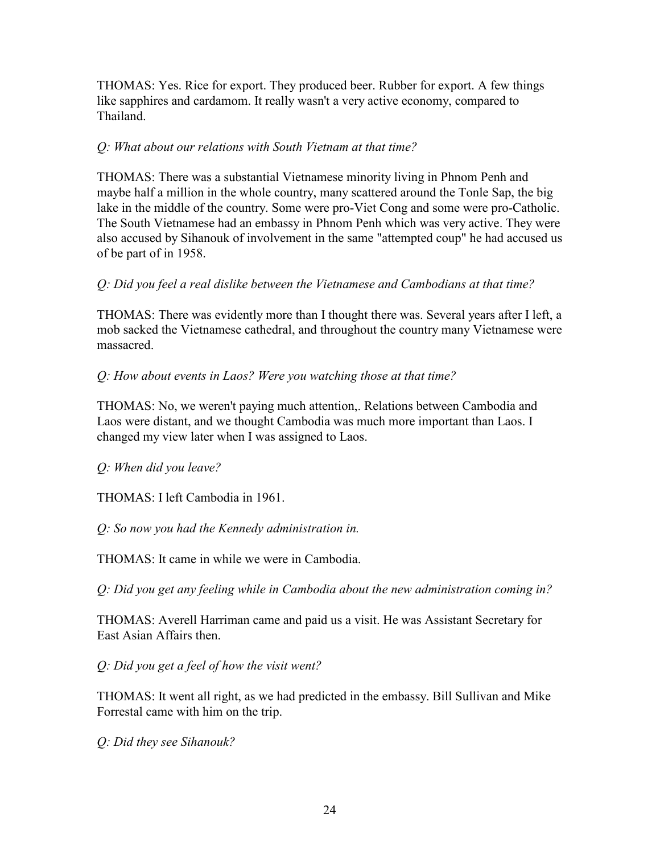THOMAS: Yes. Rice for export. They produced beer. Rubber for export. A few things like sapphires and cardamom. It really wasn't a very active economy, compared to Thailand.

### *Q: What about our relations with South Vietnam at that time?*

THOMAS: There was a substantial Vietnamese minority living in Phnom Penh and maybe half a million in the whole country, many scattered around the Tonle Sap, the big lake in the middle of the country. Some were pro-Viet Cong and some were pro-Catholic. The South Vietnamese had an embassy in Phnom Penh which was very active. They were also accused by Sihanouk of involvement in the same "attempted coup" he had accused us of be part of in 1958.

#### *Q: Did you feel a real dislike between the Vietnamese and Cambodians at that time?*

THOMAS: There was evidently more than I thought there was. Several years after I left, a mob sacked the Vietnamese cathedral, and throughout the country many Vietnamese were massacred.

## *Q: How about events in Laos? Were you watching those at that time?*

THOMAS: No, we weren't paying much attention,. Relations between Cambodia and Laos were distant, and we thought Cambodia was much more important than Laos. I changed my view later when I was assigned to Laos.

*Q: When did you leave?* 

THOMAS: I left Cambodia in 1961.

*Q: So now you had the Kennedy administration in.* 

THOMAS: It came in while we were in Cambodia.

*Q: Did you get any feeling while in Cambodia about the new administration coming in?* 

THOMAS: Averell Harriman came and paid us a visit. He was Assistant Secretary for East Asian Affairs then.

*Q: Did you get a feel of how the visit went?* 

THOMAS: It went all right, as we had predicted in the embassy. Bill Sullivan and Mike Forrestal came with him on the trip.

*Q: Did they see Sihanouk?*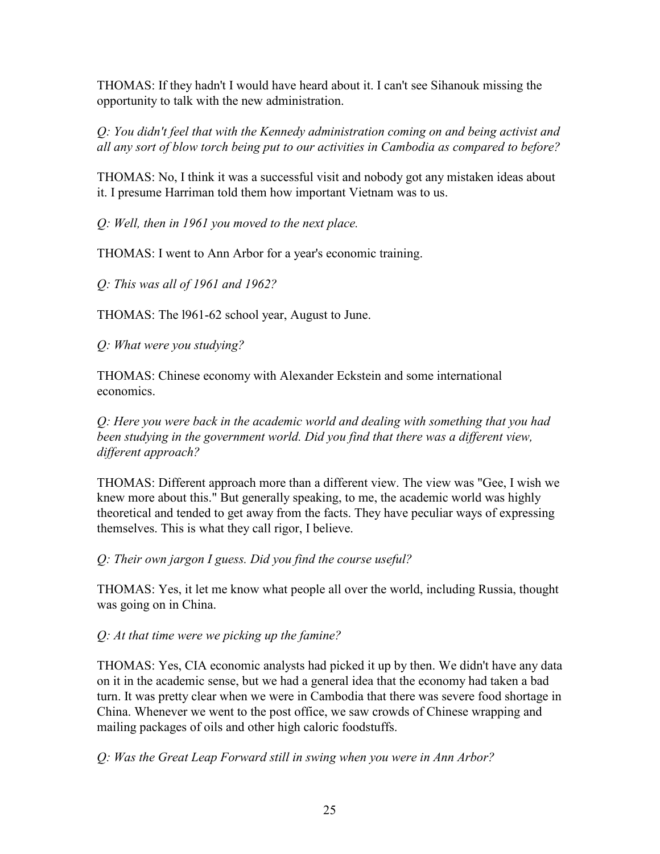THOMAS: If they hadn't I would have heard about it. I can't see Sihanouk missing the opportunity to talk with the new administration.

*Q: You didn't feel that with the Kennedy administration coming on and being activist and all any sort of blow torch being put to our activities in Cambodia as compared to before?* 

THOMAS: No, I think it was a successful visit and nobody got any mistaken ideas about it. I presume Harriman told them how important Vietnam was to us.

*Q: Well, then in 1961 you moved to the next place.* 

THOMAS: I went to Ann Arbor for a year's economic training.

*Q: This was all of 1961 and 1962?* 

THOMAS: The l961-62 school year, August to June.

*Q: What were you studying?* 

THOMAS: Chinese economy with Alexander Eckstein and some international economics.

*Q: Here you were back in the academic world and dealing with something that you had*  been studying in the government world. Did you find that there was a different view, *different approach?* 

THOMAS: Different approach more than a different view. The view was "Gee, I wish we knew more about this." But generally speaking, to me, the academic world was highly theoretical and tended to get away from the facts. They have peculiar ways of expressing themselves. This is what they call rigor, I believe.

*Q: Their own jargon I guess. Did you find the course useful?* 

THOMAS: Yes, it let me know what people all over the world, including Russia, thought was going on in China.

*Q: At that time were we picking up the famine?* 

THOMAS: Yes, CIA economic analysts had picked it up by then. We didn't have any data on it in the academic sense, but we had a general idea that the economy had taken a bad turn. It was pretty clear when we were in Cambodia that there was severe food shortage in China. Whenever we went to the post office, we saw crowds of Chinese wrapping and mailing packages of oils and other high caloric foodstuffs.

*Q: Was the Great Leap Forward still in swing when you were in Ann Arbor?*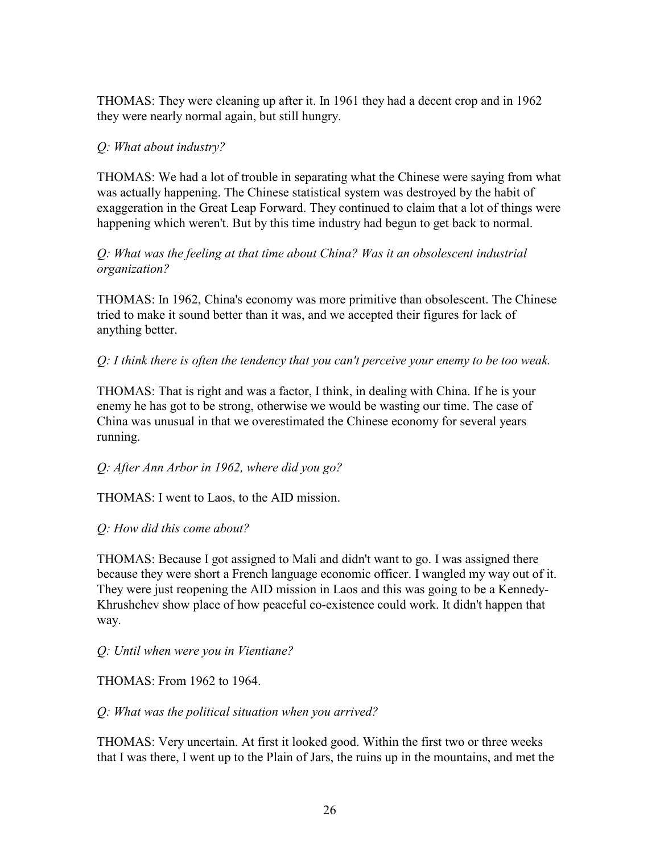THOMAS: They were cleaning up after it. In 1961 they had a decent crop and in 1962 they were nearly normal again, but still hungry.

### *Q: What about industry?*

THOMAS: We had a lot of trouble in separating what the Chinese were saying from what was actually happening. The Chinese statistical system was destroyed by the habit of exaggeration in the Great Leap Forward. They continued to claim that a lot of things were happening which weren't. But by this time industry had begun to get back to normal.

### *Q: What was the feeling at that time about China? Was it an obsolescent industrial organization?*

THOMAS: In 1962, China's economy was more primitive than obsolescent. The Chinese tried to make it sound better than it was, and we accepted their figures for lack of anything better.

### *Q: I think there is often the tendency that you can't perceive your enemy to be too weak.*

THOMAS: That is right and was a factor, I think, in dealing with China. If he is your enemy he has got to be strong, otherwise we would be wasting our time. The case of China was unusual in that we overestimated the Chinese economy for several years running.

## *Q: After Ann Arbor in 1962, where did you go?*

THOMAS: I went to Laos, to the AID mission.

## *Q: How did this come about?*

THOMAS: Because I got assigned to Mali and didn't want to go. I was assigned there because they were short a French language economic officer. I wangled my way out of it. They were just reopening the AID mission in Laos and this was going to be a Kennedy-Khrushchev show place of how peaceful co-existence could work. It didn't happen that way.

*Q: Until when were you in Vientiane?* 

THOMAS: From 1962 to 1964.

## *Q: What was the political situation when you arrived?*

THOMAS: Very uncertain. At first it looked good. Within the first two or three weeks that I was there, I went up to the Plain of Jars, the ruins up in the mountains, and met the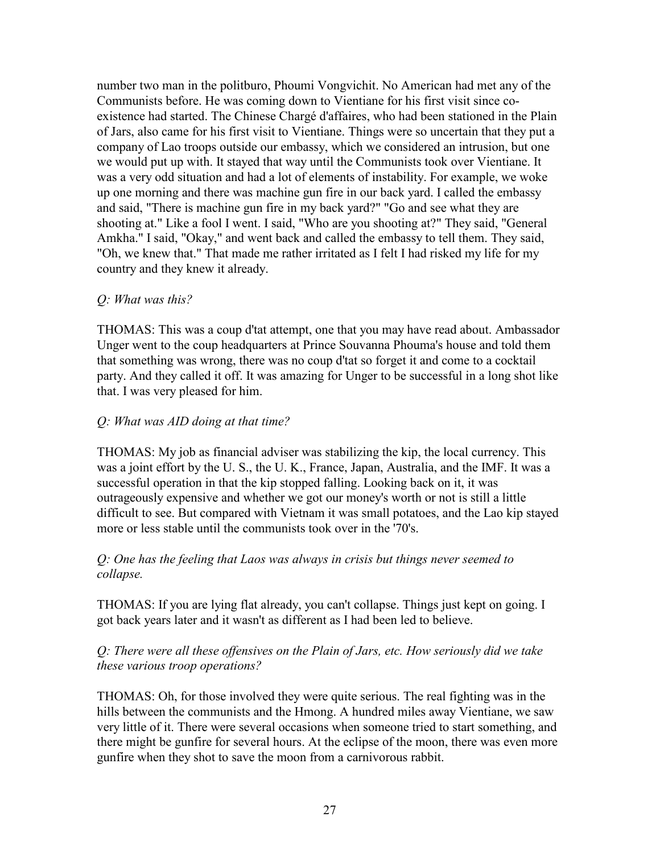number two man in the politburo, Phoumi Vongvichit. No American had met any of the Communists before. He was coming down to Vientiane for his first visit since coexistence had started. The Chinese Chargé d'affaires, who had been stationed in the Plain of Jars, also came for his first visit to Vientiane. Things were so uncertain that they put a company of Lao troops outside our embassy, which we considered an intrusion, but one we would put up with. It stayed that way until the Communists took over Vientiane. It was a very odd situation and had a lot of elements of instability. For example, we woke up one morning and there was machine gun fire in our back yard. I called the embassy and said, "There is machine gun fire in my back yard?" "Go and see what they are shooting at." Like a fool I went. I said, "Who are you shooting at?" They said, "General Amkha." I said, "Okay," and went back and called the embassy to tell them. They said, "Oh, we knew that." That made me rather irritated as I felt I had risked my life for my country and they knew it already.

#### *Q: What was this?*

THOMAS: This was a coup d'tat attempt, one that you may have read about. Ambassador Unger went to the coup headquarters at Prince Souvanna Phouma's house and told them that something was wrong, there was no coup d'tat so forget it and come to a cocktail party. And they called it off. It was amazing for Unger to be successful in a long shot like that. I was very pleased for him.

### *Q: What was AID doing at that time?*

THOMAS: My job as financial adviser was stabilizing the kip, the local currency. This was a joint effort by the U. S., the U. K., France, Japan, Australia, and the IMF. It was a successful operation in that the kip stopped falling. Looking back on it, it was outrageously expensive and whether we got our money's worth or not is still a little difficult to see. But compared with Vietnam it was small potatoes, and the Lao kip stayed more or less stable until the communists took over in the '70's.

#### *Q: One has the feeling that Laos was always in crisis but things never seemed to collapse.*

THOMAS: If you are lying flat already, you can't collapse. Things just kept on going. I got back years later and it wasn't as different as I had been led to believe.

#### *Q: There were all these offensives on the Plain of Jars, etc. How seriously did we take these various troop operations?*

THOMAS: Oh, for those involved they were quite serious. The real fighting was in the hills between the communists and the Hmong. A hundred miles away Vientiane, we saw very little of it. There were several occasions when someone tried to start something, and there might be gunfire for several hours. At the eclipse of the moon, there was even more gunfire when they shot to save the moon from a carnivorous rabbit.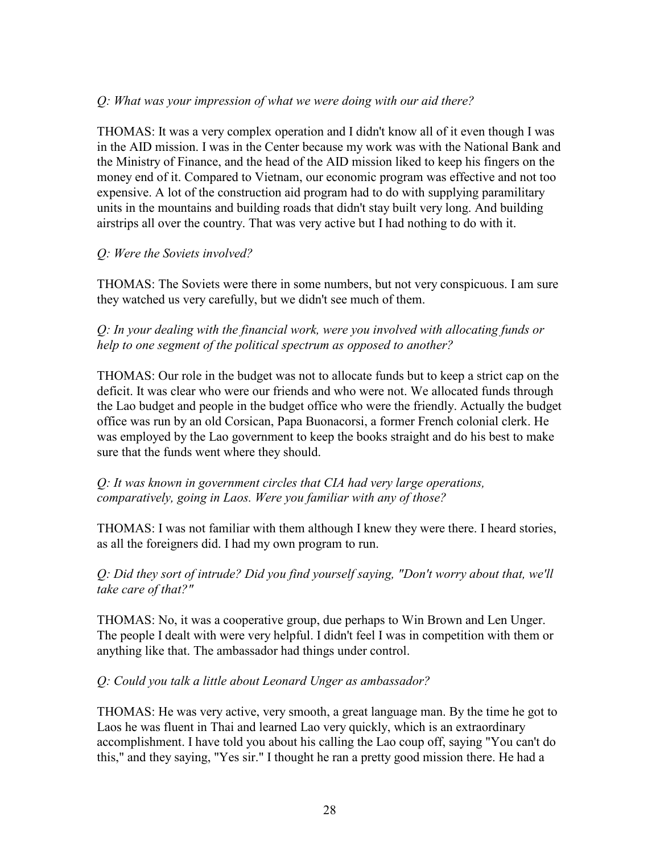### *Q: What was your impression of what we were doing with our aid there?*

THOMAS: It was a very complex operation and I didn't know all of it even though I was in the AID mission. I was in the Center because my work was with the National Bank and the Ministry of Finance, and the head of the AID mission liked to keep his fingers on the money end of it. Compared to Vietnam, our economic program was effective and not too expensive. A lot of the construction aid program had to do with supplying paramilitary units in the mountains and building roads that didn't stay built very long. And building airstrips all over the country. That was very active but I had nothing to do with it.

#### *Q: Were the Soviets involved?*

THOMAS: The Soviets were there in some numbers, but not very conspicuous. I am sure they watched us very carefully, but we didn't see much of them.

*Q: In your dealing with the financial work, were you involved with allocating funds or help to one segment of the political spectrum as opposed to another?* 

THOMAS: Our role in the budget was not to allocate funds but to keep a strict cap on the deficit. It was clear who were our friends and who were not. We allocated funds through the Lao budget and people in the budget office who were the friendly. Actually the budget office was run by an old Corsican, Papa Buonacorsi, a former French colonial clerk. He was employed by the Lao government to keep the books straight and do his best to make sure that the funds went where they should.

*Q: It was known in government circles that CIA had very large operations, comparatively, going in Laos. Were you familiar with any of those?* 

THOMAS: I was not familiar with them although I knew they were there. I heard stories, as all the foreigners did. I had my own program to run.

*Q: Did they sort of intrude? Did you find yourself saying, "Don't worry about that, we'll take care of that?"* 

THOMAS: No, it was a cooperative group, due perhaps to Win Brown and Len Unger. The people I dealt with were very helpful. I didn't feel I was in competition with them or anything like that. The ambassador had things under control.

#### *Q: Could you talk a little about Leonard Unger as ambassador?*

THOMAS: He was very active, very smooth, a great language man. By the time he got to Laos he was fluent in Thai and learned Lao very quickly, which is an extraordinary accomplishment. I have told you about his calling the Lao coup off, saying "You can't do this," and they saying, "Yes sir." I thought he ran a pretty good mission there. He had a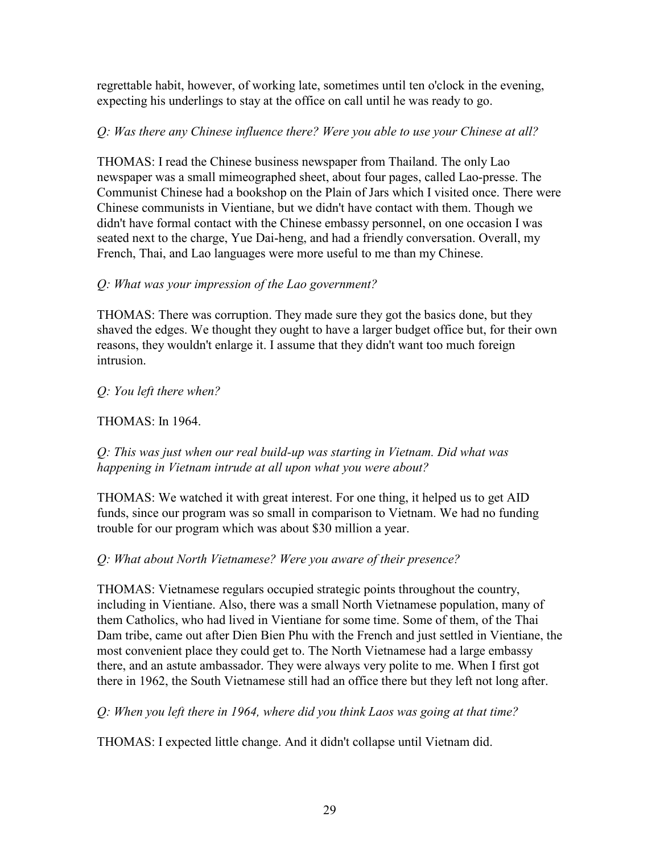regrettable habit, however, of working late, sometimes until ten o'clock in the evening, expecting his underlings to stay at the office on call until he was ready to go.

## *Q: Was there any Chinese influence there? Were you able to use your Chinese at all?*

THOMAS: I read the Chinese business newspaper from Thailand. The only Lao newspaper was a small mimeographed sheet, about four pages, called Lao-presse. The Communist Chinese had a bookshop on the Plain of Jars which I visited once. There were Chinese communists in Vientiane, but we didn't have contact with them. Though we didn't have formal contact with the Chinese embassy personnel, on one occasion I was seated next to the charge, Yue Dai-heng, and had a friendly conversation. Overall, my French, Thai, and Lao languages were more useful to me than my Chinese.

### *Q: What was your impression of the Lao government?*

THOMAS: There was corruption. They made sure they got the basics done, but they shaved the edges. We thought they ought to have a larger budget office but, for their own reasons, they wouldn't enlarge it. I assume that they didn't want too much foreign intrusion.

### *Q: You left there when?*

## THOMAS: In 1964.

*Q: This was just when our real build-up was starting in Vietnam. Did what was happening in Vietnam intrude at all upon what you were about?* 

THOMAS: We watched it with great interest. For one thing, it helped us to get AID funds, since our program was so small in comparison to Vietnam. We had no funding trouble for our program which was about \$30 million a year.

## *Q: What about North Vietnamese? Were you aware of their presence?*

THOMAS: Vietnamese regulars occupied strategic points throughout the country, including in Vientiane. Also, there was a small North Vietnamese population, many of them Catholics, who had lived in Vientiane for some time. Some of them, of the Thai Dam tribe, came out after Dien Bien Phu with the French and just settled in Vientiane, the most convenient place they could get to. The North Vietnamese had a large embassy there, and an astute ambassador. They were always very polite to me. When I first got there in 1962, the South Vietnamese still had an office there but they left not long after.

*Q: When you left there in 1964, where did you think Laos was going at that time?* 

THOMAS: I expected little change. And it didn't collapse until Vietnam did.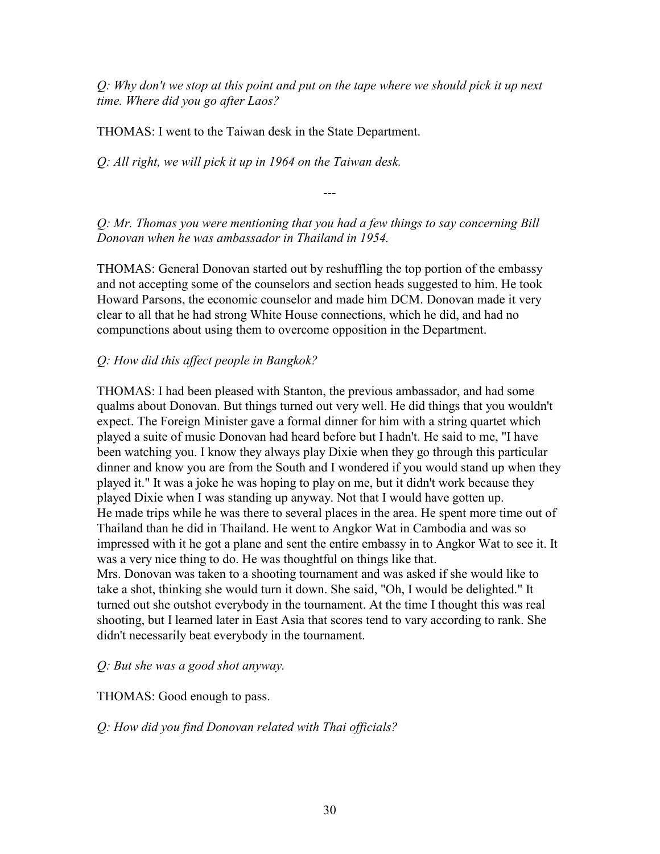*Q: Why don't we stop at this point and put on the tape where we should pick it up next time. Where did you go after Laos?* 

THOMAS: I went to the Taiwan desk in the State Department.

*Q: All right, we will pick it up in 1964 on the Taiwan desk.* 

---

*Q: Mr. Thomas you were mentioning that you had a few things to say concerning Bill Donovan when he was ambassador in Thailand in 1954.*

THOMAS: General Donovan started out by reshuffling the top portion of the embassy and not accepting some of the counselors and section heads suggested to him. He took Howard Parsons, the economic counselor and made him DCM. Donovan made it very clear to all that he had strong White House connections, which he did, and had no compunctions about using them to overcome opposition in the Department.

## *Q: How did this affect people in Bangkok?*

THOMAS: I had been pleased with Stanton, the previous ambassador, and had some qualms about Donovan. But things turned out very well. He did things that you wouldn't expect. The Foreign Minister gave a formal dinner for him with a string quartet which played a suite of music Donovan had heard before but I hadn't. He said to me, "I have been watching you. I know they always play Dixie when they go through this particular dinner and know you are from the South and I wondered if you would stand up when they played it." It was a joke he was hoping to play on me, but it didn't work because they played Dixie when I was standing up anyway. Not that I would have gotten up. He made trips while he was there to several places in the area. He spent more time out of Thailand than he did in Thailand. He went to Angkor Wat in Cambodia and was so impressed with it he got a plane and sent the entire embassy in to Angkor Wat to see it. It was a very nice thing to do. He was thoughtful on things like that. Mrs. Donovan was taken to a shooting tournament and was asked if she would like to take a shot, thinking she would turn it down. She said, "Oh, I would be delighted." It turned out she outshot everybody in the tournament. At the time I thought this was real shooting, but I learned later in East Asia that scores tend to vary according to rank. She didn't necessarily beat everybody in the tournament.

#### *Q: But she was a good shot anyway.*

THOMAS: Good enough to pass.

*Q: How did you find Donovan related with Thai officials?*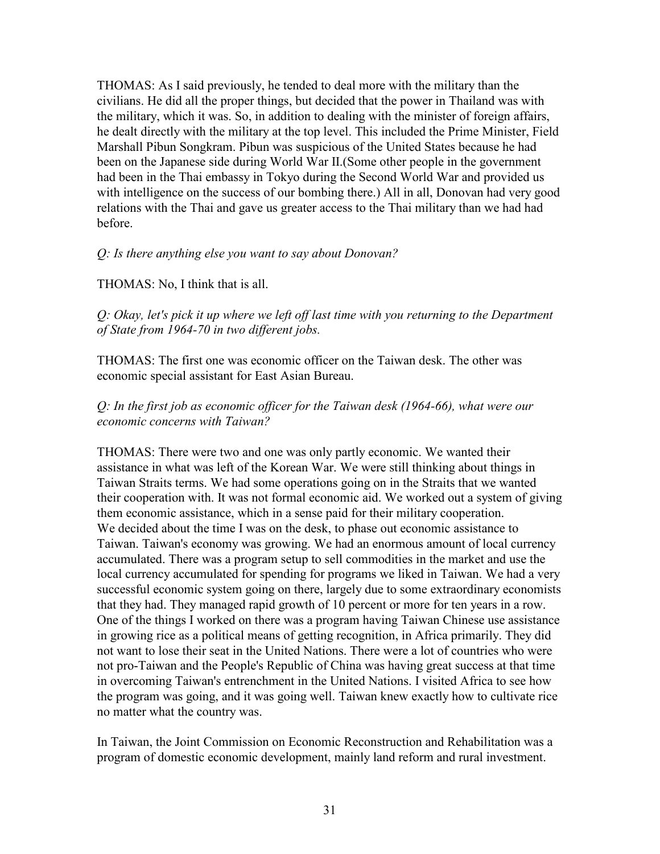THOMAS: As I said previously, he tended to deal more with the military than the civilians. He did all the proper things, but decided that the power in Thailand was with the military, which it was. So, in addition to dealing with the minister of foreign affairs, he dealt directly with the military at the top level. This included the Prime Minister, Field Marshall Pibun Songkram. Pibun was suspicious of the United States because he had been on the Japanese side during World War II.(Some other people in the government had been in the Thai embassy in Tokyo during the Second World War and provided us with intelligence on the success of our bombing there.) All in all, Donovan had very good relations with the Thai and gave us greater access to the Thai military than we had had before.

#### *Q: Is there anything else you want to say about Donovan?*

#### THOMAS: No, I think that is all.

*Q: Okay, let's pick it up where we left off last time with you returning to the Department of State from 1964-70 in two different jobs.* 

THOMAS: The first one was economic officer on the Taiwan desk. The other was economic special assistant for East Asian Bureau.

#### *Q: In the first job as economic officer for the Taiwan desk (1964-66), what were our economic concerns with Taiwan?*

THOMAS: There were two and one was only partly economic. We wanted their assistance in what was left of the Korean War. We were still thinking about things in Taiwan Straits terms. We had some operations going on in the Straits that we wanted their cooperation with. It was not formal economic aid. We worked out a system of giving them economic assistance, which in a sense paid for their military cooperation. We decided about the time I was on the desk, to phase out economic assistance to Taiwan. Taiwan's economy was growing. We had an enormous amount of local currency accumulated. There was a program setup to sell commodities in the market and use the local currency accumulated for spending for programs we liked in Taiwan. We had a very successful economic system going on there, largely due to some extraordinary economists that they had. They managed rapid growth of 10 percent or more for ten years in a row. One of the things I worked on there was a program having Taiwan Chinese use assistance in growing rice as a political means of getting recognition, in Africa primarily. They did not want to lose their seat in the United Nations. There were a lot of countries who were not pro-Taiwan and the People's Republic of China was having great success at that time in overcoming Taiwan's entrenchment in the United Nations. I visited Africa to see how the program was going, and it was going well. Taiwan knew exactly how to cultivate rice no matter what the country was.

In Taiwan, the Joint Commission on Economic Reconstruction and Rehabilitation was a program of domestic economic development, mainly land reform and rural investment.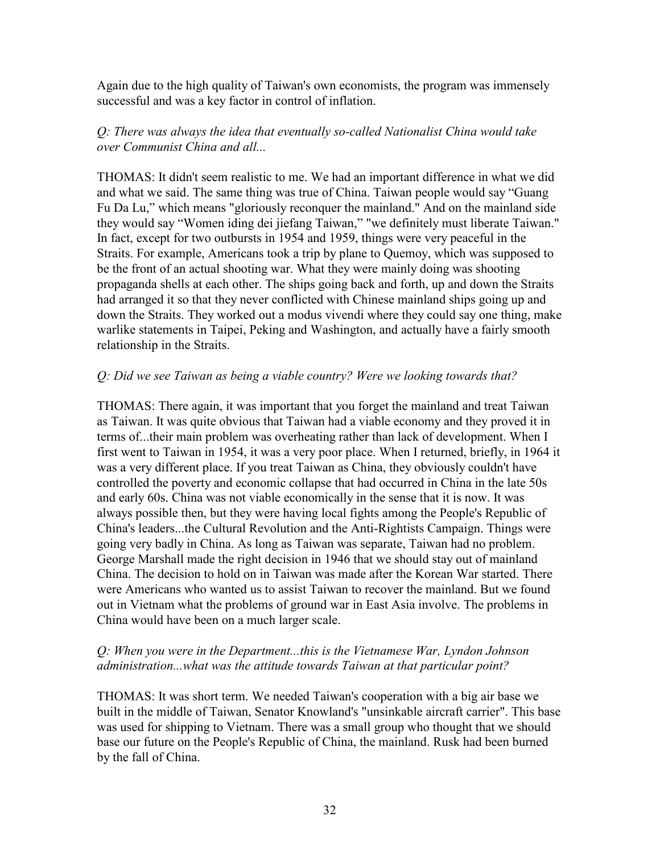Again due to the high quality of Taiwan's own economists, the program was immensely successful and was a key factor in control of inflation.

### *Q: There was always the idea that eventually so-called Nationalist China would take over Communist China and all...*

THOMAS: It didn't seem realistic to me. We had an important difference in what we did and what we said. The same thing was true of China. Taiwan people would say "Guang Fu Da Lu," which means "gloriously reconquer the mainland." And on the mainland side they would say "Women iding dei jiefang Taiwan," "we definitely must liberate Taiwan." In fact, except for two outbursts in 1954 and 1959, things were very peaceful in the Straits. For example, Americans took a trip by plane to Quemoy, which was supposed to be the front of an actual shooting war. What they were mainly doing was shooting propaganda shells at each other. The ships going back and forth, up and down the Straits had arranged it so that they never conflicted with Chinese mainland ships going up and down the Straits. They worked out a modus vivendi where they could say one thing, make warlike statements in Taipei, Peking and Washington, and actually have a fairly smooth relationship in the Straits.

### *Q: Did we see Taiwan as being a viable country? Were we looking towards that?*

THOMAS: There again, it was important that you forget the mainland and treat Taiwan as Taiwan. It was quite obvious that Taiwan had a viable economy and they proved it in terms of...their main problem was overheating rather than lack of development. When I first went to Taiwan in 1954, it was a very poor place. When I returned, briefly, in 1964 it was a very different place. If you treat Taiwan as China, they obviously couldn't have controlled the poverty and economic collapse that had occurred in China in the late 50s and early 60s. China was not viable economically in the sense that it is now. It was always possible then, but they were having local fights among the People's Republic of China's leaders...the Cultural Revolution and the Anti-Rightists Campaign. Things were going very badly in China. As long as Taiwan was separate, Taiwan had no problem. George Marshall made the right decision in 1946 that we should stay out of mainland China. The decision to hold on in Taiwan was made after the Korean War started. There were Americans who wanted us to assist Taiwan to recover the mainland. But we found out in Vietnam what the problems of ground war in East Asia involve. The problems in China would have been on a much larger scale.

#### *Q: When you were in the Department...this is the Vietnamese War, Lyndon Johnson administration...what was the attitude towards Taiwan at that particular point?*

THOMAS: It was short term. We needed Taiwan's cooperation with a big air base we built in the middle of Taiwan, Senator Knowland's "unsinkable aircraft carrier". This base was used for shipping to Vietnam. There was a small group who thought that we should base our future on the People's Republic of China, the mainland. Rusk had been burned by the fall of China.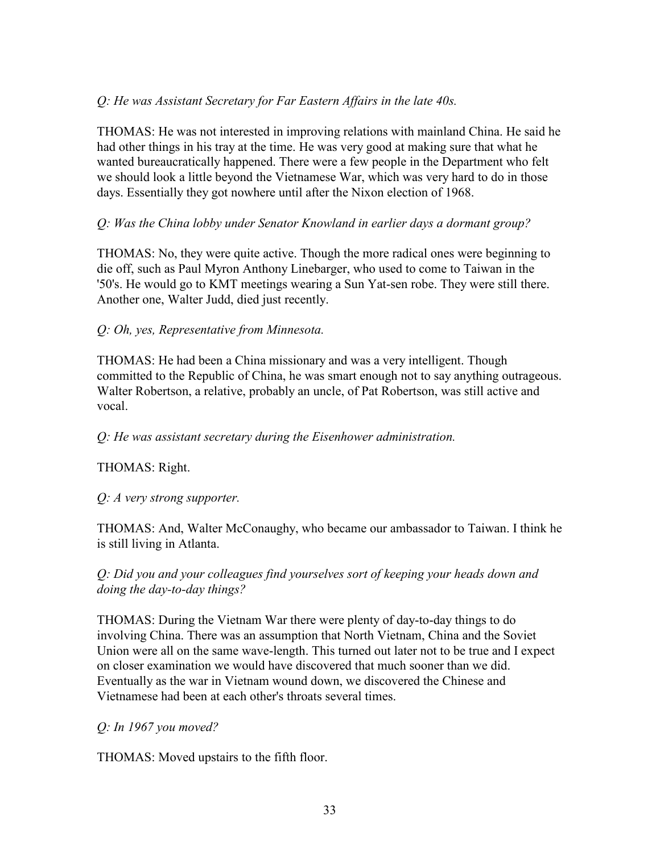## *Q: He was Assistant Secretary for Far Eastern Affairs in the late 40s.*

THOMAS: He was not interested in improving relations with mainland China. He said he had other things in his tray at the time. He was very good at making sure that what he wanted bureaucratically happened. There were a few people in the Department who felt we should look a little beyond the Vietnamese War, which was very hard to do in those days. Essentially they got nowhere until after the Nixon election of 1968.

#### *Q: Was the China lobby under Senator Knowland in earlier days a dormant group?*

THOMAS: No, they were quite active. Though the more radical ones were beginning to die off, such as Paul Myron Anthony Linebarger, who used to come to Taiwan in the '50's. He would go to KMT meetings wearing a Sun Yat-sen robe. They were still there. Another one, Walter Judd, died just recently.

### *Q: Oh, yes, Representative from Minnesota.*

THOMAS: He had been a China missionary and was a very intelligent. Though committed to the Republic of China, he was smart enough not to say anything outrageous. Walter Robertson, a relative, probably an uncle, of Pat Robertson, was still active and vocal.

*Q: He was assistant secretary during the Eisenhower administration.* 

#### THOMAS: Right.

*Q: A very strong supporter.* 

THOMAS: And, Walter McConaughy, who became our ambassador to Taiwan. I think he is still living in Atlanta.

*Q: Did you and your colleagues find yourselves sort of keeping your heads down and doing the day-to-day things?* 

THOMAS: During the Vietnam War there were plenty of day-to-day things to do involving China. There was an assumption that North Vietnam, China and the Soviet Union were all on the same wave-length. This turned out later not to be true and I expect on closer examination we would have discovered that much sooner than we did. Eventually as the war in Vietnam wound down, we discovered the Chinese and Vietnamese had been at each other's throats several times.

*Q: In 1967 you moved?* 

THOMAS: Moved upstairs to the fifth floor.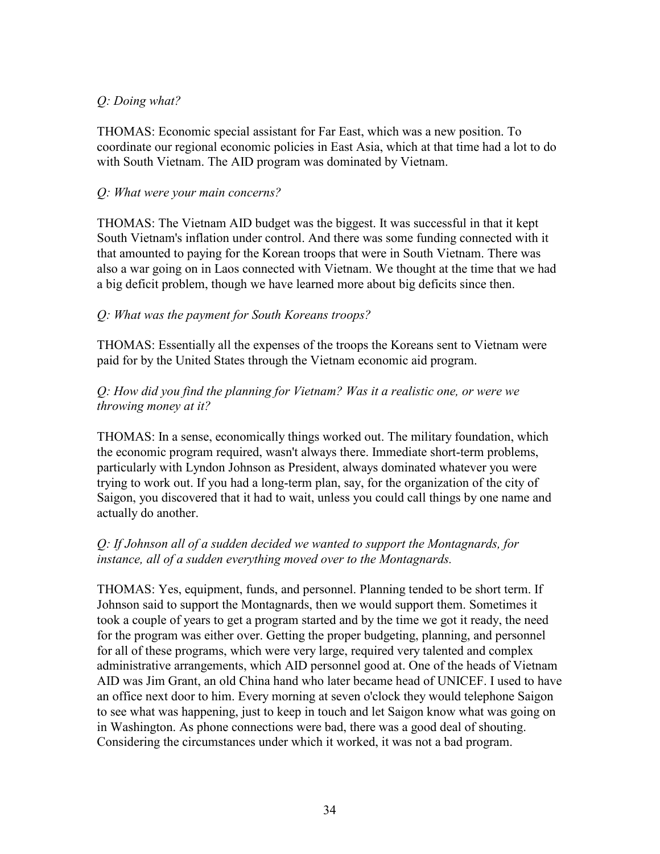## *Q: Doing what?*

THOMAS: Economic special assistant for Far East, which was a new position. To coordinate our regional economic policies in East Asia, which at that time had a lot to do with South Vietnam. The AID program was dominated by Vietnam.

#### *Q: What were your main concerns?*

THOMAS: The Vietnam AID budget was the biggest. It was successful in that it kept South Vietnam's inflation under control. And there was some funding connected with it that amounted to paying for the Korean troops that were in South Vietnam. There was also a war going on in Laos connected with Vietnam. We thought at the time that we had a big deficit problem, though we have learned more about big deficits since then.

### *Q: What was the payment for South Koreans troops?*

THOMAS: Essentially all the expenses of the troops the Koreans sent to Vietnam were paid for by the United States through the Vietnam economic aid program.

### *Q: How did you find the planning for Vietnam? Was it a realistic one, or were we throwing money at it?*

THOMAS: In a sense, economically things worked out. The military foundation, which the economic program required, wasn't always there. Immediate short-term problems, particularly with Lyndon Johnson as President, always dominated whatever you were trying to work out. If you had a long-term plan, say, for the organization of the city of Saigon, you discovered that it had to wait, unless you could call things by one name and actually do another.

### *Q: If Johnson all of a sudden decided we wanted to support the Montagnards, for instance, all of a sudden everything moved over to the Montagnards.*

THOMAS: Yes, equipment, funds, and personnel. Planning tended to be short term. If Johnson said to support the Montagnards, then we would support them. Sometimes it took a couple of years to get a program started and by the time we got it ready, the need for the program was either over. Getting the proper budgeting, planning, and personnel for all of these programs, which were very large, required very talented and complex administrative arrangements, which AID personnel good at. One of the heads of Vietnam AID was Jim Grant, an old China hand who later became head of UNICEF. I used to have an office next door to him. Every morning at seven o'clock they would telephone Saigon to see what was happening, just to keep in touch and let Saigon know what was going on in Washington. As phone connections were bad, there was a good deal of shouting. Considering the circumstances under which it worked, it was not a bad program.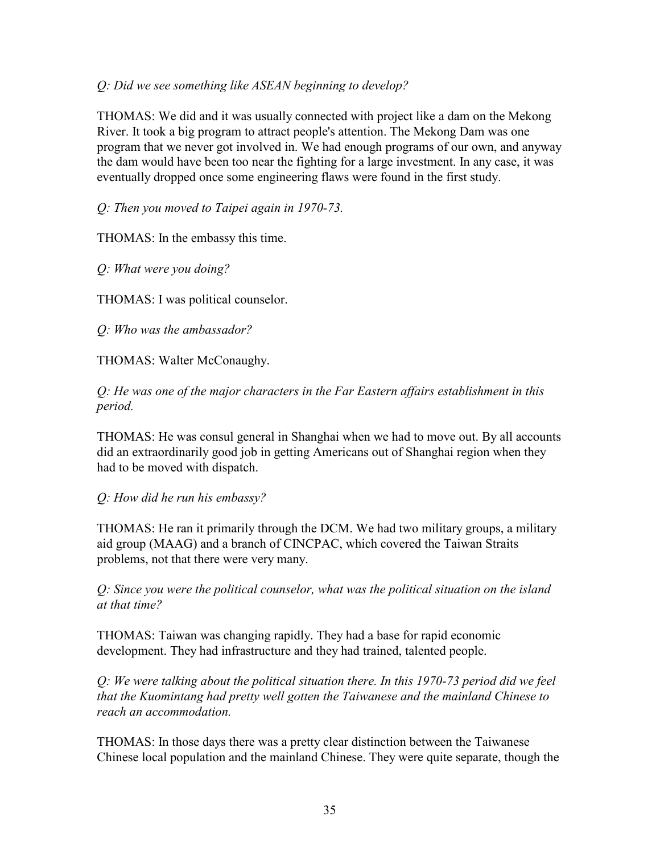#### *Q: Did we see something like ASEAN beginning to develop?*

THOMAS: We did and it was usually connected with project like a dam on the Mekong River. It took a big program to attract people's attention. The Mekong Dam was one program that we never got involved in. We had enough programs of our own, and anyway the dam would have been too near the fighting for a large investment. In any case, it was eventually dropped once some engineering flaws were found in the first study.

*Q: Then you moved to Taipei again in 1970-73.* 

THOMAS: In the embassy this time.

*Q: What were you doing?* 

THOMAS: I was political counselor.

*Q: Who was the ambassador?* 

THOMAS: Walter McConaughy.

*Q: He was one of the major characters in the Far Eastern affairs establishment in this period.* 

THOMAS: He was consul general in Shanghai when we had to move out. By all accounts did an extraordinarily good job in getting Americans out of Shanghai region when they had to be moved with dispatch.

*Q: How did he run his embassy?* 

THOMAS: He ran it primarily through the DCM. We had two military groups, a military aid group (MAAG) and a branch of CINCPAC, which covered the Taiwan Straits problems, not that there were very many.

*Q: Since you were the political counselor, what was the political situation on the island at that time?* 

THOMAS: Taiwan was changing rapidly. They had a base for rapid economic development. They had infrastructure and they had trained, talented people.

*Q: We were talking about the political situation there. In this 1970-73 period did we feel that the Kuomintang had pretty well gotten the Taiwanese and the mainland Chinese to reach an accommodation.* 

THOMAS: In those days there was a pretty clear distinction between the Taiwanese Chinese local population and the mainland Chinese. They were quite separate, though the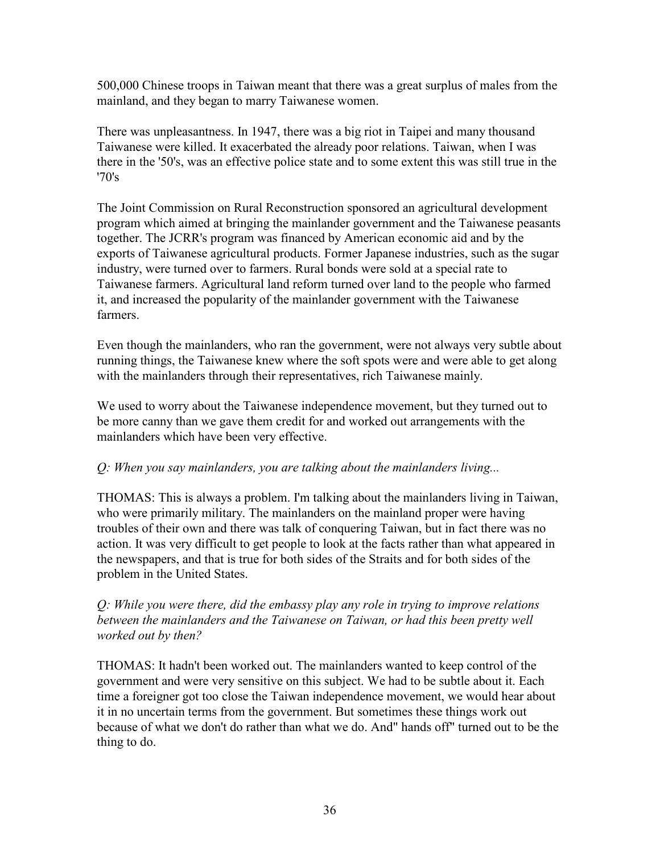500,000 Chinese troops in Taiwan meant that there was a great surplus of males from the mainland, and they began to marry Taiwanese women.

There was unpleasantness. In 1947, there was a big riot in Taipei and many thousand Taiwanese were killed. It exacerbated the already poor relations. Taiwan, when I was there in the '50's, was an effective police state and to some extent this was still true in the '70's

The Joint Commission on Rural Reconstruction sponsored an agricultural development program which aimed at bringing the mainlander government and the Taiwanese peasants together. The JCRR's program was financed by American economic aid and by the exports of Taiwanese agricultural products. Former Japanese industries, such as the sugar industry, were turned over to farmers. Rural bonds were sold at a special rate to Taiwanese farmers. Agricultural land reform turned over land to the people who farmed it, and increased the popularity of the mainlander government with the Taiwanese farmers.

Even though the mainlanders, who ran the government, were not always very subtle about running things, the Taiwanese knew where the soft spots were and were able to get along with the mainlanders through their representatives, rich Taiwanese mainly.

We used to worry about the Taiwanese independence movement, but they turned out to be more canny than we gave them credit for and worked out arrangements with the mainlanders which have been very effective.

#### *Q: When you say mainlanders, you are talking about the mainlanders living...*

THOMAS: This is always a problem. I'm talking about the mainlanders living in Taiwan, who were primarily military. The mainlanders on the mainland proper were having troubles of their own and there was talk of conquering Taiwan, but in fact there was no action. It was very difficult to get people to look at the facts rather than what appeared in the newspapers, and that is true for both sides of the Straits and for both sides of the problem in the United States.

### *Q: While you were there, did the embassy play any role in trying to improve relations*  between the mainlanders and the Taiwanese on Taiwan, or had this been pretty well *worked out by then?*

THOMAS: It hadn't been worked out. The mainlanders wanted to keep control of the government and were very sensitive on this subject. We had to be subtle about it. Each time a foreigner got too close the Taiwan independence movement, we would hear about it in no uncertain terms from the government. But sometimes these things work out because of what we don't do rather than what we do. And" hands off" turned out to be the thing to do.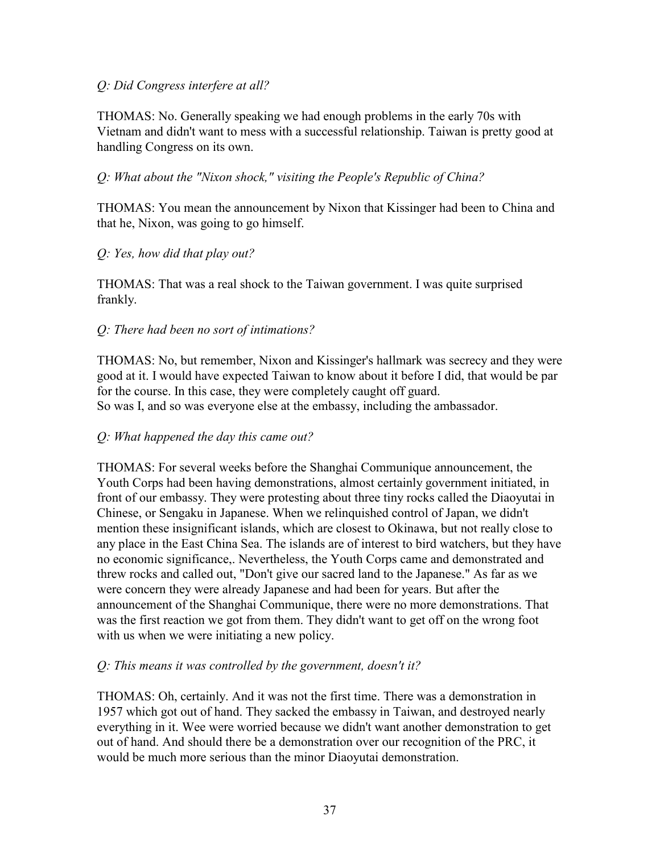#### *Q: Did Congress interfere at all?*

THOMAS: No. Generally speaking we had enough problems in the early 70s with Vietnam and didn't want to mess with a successful relationship. Taiwan is pretty good at handling Congress on its own.

### *Q: What about the "Nixon shock," visiting the People's Republic of China?*

THOMAS: You mean the announcement by Nixon that Kissinger had been to China and that he, Nixon, was going to go himself.

#### *Q: Yes, how did that play out?*

THOMAS: That was a real shock to the Taiwan government. I was quite surprised frankly.

### *Q: There had been no sort of intimations?*

THOMAS: No, but remember, Nixon and Kissinger's hallmark was secrecy and they were good at it. I would have expected Taiwan to know about it before I did, that would be par for the course. In this case, they were completely caught off guard. So was I, and so was everyone else at the embassy, including the ambassador.

#### *Q: What happened the day this came out?*

THOMAS: For several weeks before the Shanghai Communique announcement, the Youth Corps had been having demonstrations, almost certainly government initiated, in front of our embassy. They were protesting about three tiny rocks called the Diaoyutai in Chinese, or Sengaku in Japanese. When we relinquished control of Japan, we didn't mention these insignificant islands, which are closest to Okinawa, but not really close to any place in the East China Sea. The islands are of interest to bird watchers, but they have no economic significance,. Nevertheless, the Youth Corps came and demonstrated and threw rocks and called out, "Don't give our sacred land to the Japanese." As far as we were concern they were already Japanese and had been for years. But after the announcement of the Shanghai Communique, there were no more demonstrations. That was the first reaction we got from them. They didn't want to get off on the wrong foot with us when we were initiating a new policy.

#### *Q: This means it was controlled by the government, doesn't it?*

THOMAS: Oh, certainly. And it was not the first time. There was a demonstration in 1957 which got out of hand. They sacked the embassy in Taiwan, and destroyed nearly everything in it. Wee were worried because we didn't want another demonstration to get out of hand. And should there be a demonstration over our recognition of the PRC, it would be much more serious than the minor Diaoyutai demonstration.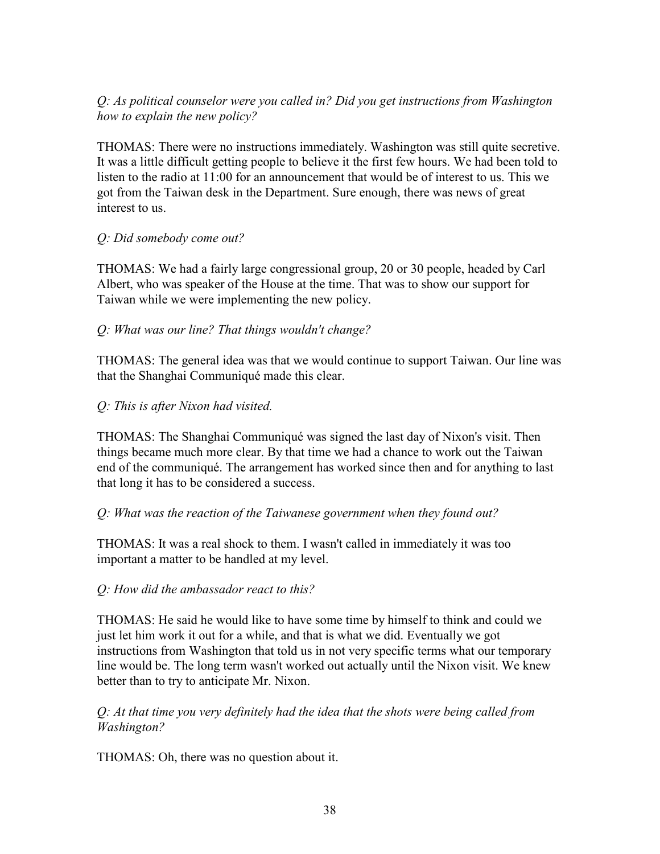## *Q: As political counselor were you called in? Did you get instructions from Washington how to explain the new policy?*

THOMAS: There were no instructions immediately. Washington was still quite secretive. It was a little difficult getting people to believe it the first few hours. We had been told to listen to the radio at 11:00 for an announcement that would be of interest to us. This we got from the Taiwan desk in the Department. Sure enough, there was news of great interest to us.

#### *Q: Did somebody come out?*

THOMAS: We had a fairly large congressional group, 20 or 30 people, headed by Carl Albert, who was speaker of the House at the time. That was to show our support for Taiwan while we were implementing the new policy.

## *Q: What was our line? That things wouldn't change?*

THOMAS: The general idea was that we would continue to support Taiwan. Our line was that the Shanghai Communiqué made this clear.

### *Q: This is after Nixon had visited.*

THOMAS: The Shanghai Communiqué was signed the last day of Nixon's visit. Then things became much more clear. By that time we had a chance to work out the Taiwan end of the communiqué. The arrangement has worked since then and for anything to last that long it has to be considered a success.

## *Q: What was the reaction of the Taiwanese government when they found out?*

THOMAS: It was a real shock to them. I wasn't called in immediately it was too important a matter to be handled at my level.

#### *Q: How did the ambassador react to this?*

THOMAS: He said he would like to have some time by himself to think and could we just let him work it out for a while, and that is what we did. Eventually we got instructions from Washington that told us in not very specific terms what our temporary line would be. The long term wasn't worked out actually until the Nixon visit. We knew better than to try to anticipate Mr. Nixon.

### *Q: At that time you very definitely had the idea that the shots were being called from Washington?*

THOMAS: Oh, there was no question about it.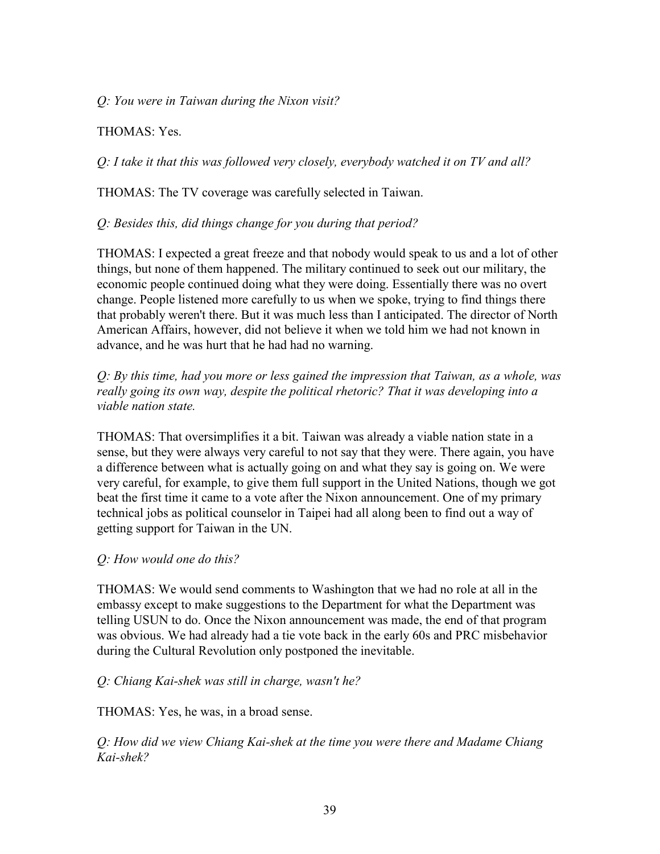*Q: You were in Taiwan during the Nixon visit?* 

THOMAS: Yes.

*Q: I take it that this was followed very closely, everybody watched it on TV and all?* 

THOMAS: The TV coverage was carefully selected in Taiwan.

### *Q: Besides this, did things change for you during that period?*

THOMAS: I expected a great freeze and that nobody would speak to us and a lot of other things, but none of them happened. The military continued to seek out our military, the economic people continued doing what they were doing. Essentially there was no overt change. People listened more carefully to us when we spoke, trying to find things there that probably weren't there. But it was much less than I anticipated. The director of North American Affairs, however, did not believe it when we told him we had not known in advance, and he was hurt that he had had no warning.

*Q: By this time, had you more or less gained the impression that Taiwan, as a whole, was*  really going its own way, despite the political rhetoric? That it was developing into a *viable nation state.* 

THOMAS: That oversimplifies it a bit. Taiwan was already a viable nation state in a sense, but they were always very careful to not say that they were. There again, you have a difference between what is actually going on and what they say is going on. We were very careful, for example, to give them full support in the United Nations, though we got beat the first time it came to a vote after the Nixon announcement. One of my primary technical jobs as political counselor in Taipei had all along been to find out a way of getting support for Taiwan in the UN.

#### *Q: How would one do this?*

THOMAS: We would send comments to Washington that we had no role at all in the embassy except to make suggestions to the Department for what the Department was telling USUN to do. Once the Nixon announcement was made, the end of that program was obvious. We had already had a tie vote back in the early 60s and PRC misbehavior during the Cultural Revolution only postponed the inevitable.

## *Q: Chiang Kai-shek was still in charge, wasn't he?*

THOMAS: Yes, he was, in a broad sense.

*Q: How did we view Chiang Kai-shek at the time you were there and Madame Chiang Kai-shek?*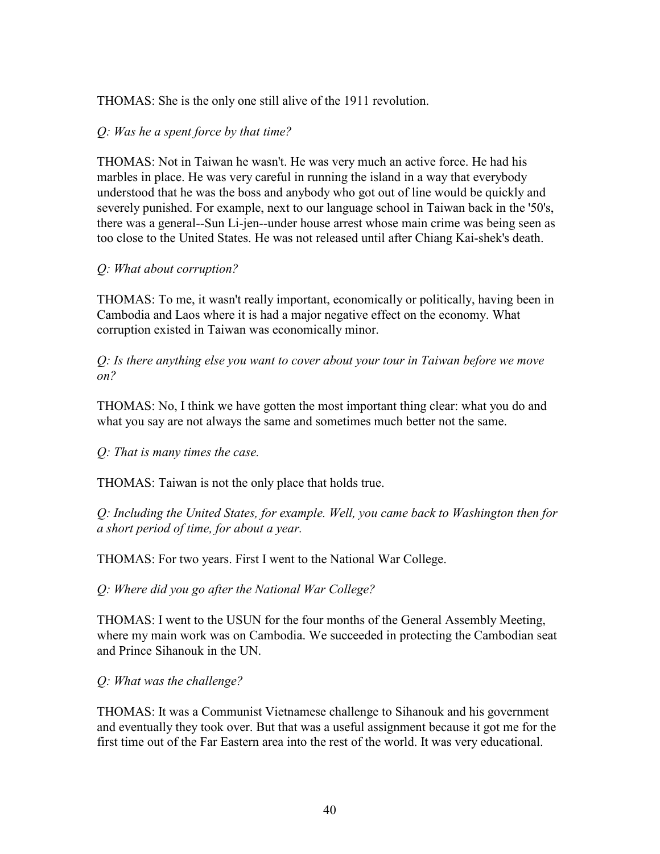### THOMAS: She is the only one still alive of the 1911 revolution.

### *Q: Was he a spent force by that time?*

THOMAS: Not in Taiwan he wasn't. He was very much an active force. He had his marbles in place. He was very careful in running the island in a way that everybody understood that he was the boss and anybody who got out of line would be quickly and severely punished. For example, next to our language school in Taiwan back in the '50's, there was a general--Sun Li-jen--under house arrest whose main crime was being seen as too close to the United States. He was not released until after Chiang Kai-shek's death.

#### *Q: What about corruption?*

THOMAS: To me, it wasn't really important, economically or politically, having been in Cambodia and Laos where it is had a major negative effect on the economy. What corruption existed in Taiwan was economically minor.

*Q: Is there anything else you want to cover about your tour in Taiwan before we move on?* 

THOMAS: No, I think we have gotten the most important thing clear: what you do and what you say are not always the same and sometimes much better not the same.

*Q: That is many times the case.* 

THOMAS: Taiwan is not the only place that holds true.

*Q: Including the United States, for example. Well, you came back to Washington then for a short period of time, for about a year.* 

THOMAS: For two years. First I went to the National War College.

*Q: Where did you go after the National War College?*

THOMAS: I went to the USUN for the four months of the General Assembly Meeting, where my main work was on Cambodia. We succeeded in protecting the Cambodian seat and Prince Sihanouk in the UN.

## *Q: What was the challenge?*

THOMAS: It was a Communist Vietnamese challenge to Sihanouk and his government and eventually they took over. But that was a useful assignment because it got me for the first time out of the Far Eastern area into the rest of the world. It was very educational.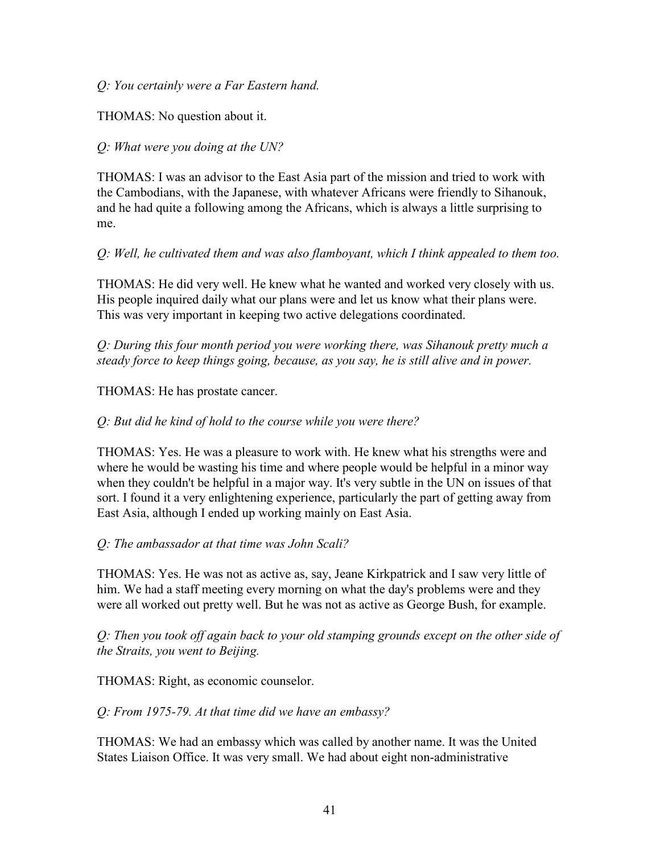*Q: You certainly were a Far Eastern hand.* 

THOMAS: No question about it.

#### *Q: What were you doing at the UN?*

THOMAS: I was an advisor to the East Asia part of the mission and tried to work with the Cambodians, with the Japanese, with whatever Africans were friendly to Sihanouk, and he had quite a following among the Africans, which is always a little surprising to me.

*Q: Well, he cultivated them and was also flamboyant, which I think appealed to them too.* 

THOMAS: He did very well. He knew what he wanted and worked very closely with us. His people inquired daily what our plans were and let us know what their plans were. This was very important in keeping two active delegations coordinated.

*Q: During this four month period you were working there, was Sihanouk pretty much a steady force to keep things going, because, as you say, he is still alive and in power.* 

THOMAS: He has prostate cancer.

#### *Q: But did he kind of hold to the course while you were there?*

THOMAS: Yes. He was a pleasure to work with. He knew what his strengths were and where he would be wasting his time and where people would be helpful in a minor way when they couldn't be helpful in a major way. It's very subtle in the UN on issues of that sort. I found it a very enlightening experience, particularly the part of getting away from East Asia, although I ended up working mainly on East Asia.

#### *Q: The ambassador at that time was John Scali?*

THOMAS: Yes. He was not as active as, say, Jeane Kirkpatrick and I saw very little of him. We had a staff meeting every morning on what the day's problems were and they were all worked out pretty well. But he was not as active as George Bush, for example.

*Q: Then you took off again back to your old stamping grounds except on the other side of the Straits, you went to Beijing.* 

THOMAS: Right, as economic counselor.

*Q: From 1975-79. At that time did we have an embassy?* 

THOMAS: We had an embassy which was called by another name. It was the United States Liaison Office. It was very small. We had about eight non-administrative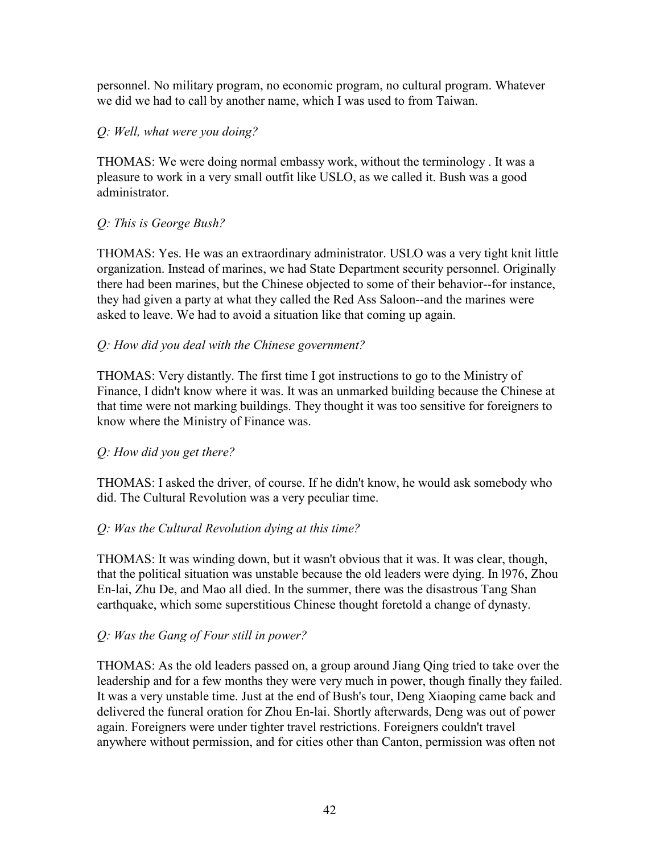personnel. No military program, no economic program, no cultural program. Whatever we did we had to call by another name, which I was used to from Taiwan.

## *Q: Well, what were you doing?*

THOMAS: We were doing normal embassy work, without the terminology . It was a pleasure to work in a very small outfit like USLO, as we called it. Bush was a good administrator.

## *Q: This is George Bush?*

THOMAS: Yes. He was an extraordinary administrator. USLO was a very tight knit little organization. Instead of marines, we had State Department security personnel. Originally there had been marines, but the Chinese objected to some of their behavior--for instance, they had given a party at what they called the Red Ass Saloon--and the marines were asked to leave. We had to avoid a situation like that coming up again.

## *Q: How did you deal with the Chinese government?*

THOMAS: Very distantly. The first time I got instructions to go to the Ministry of Finance, I didn't know where it was. It was an unmarked building because the Chinese at that time were not marking buildings. They thought it was too sensitive for foreigners to know where the Ministry of Finance was.

## *Q: How did you get there?*

THOMAS: I asked the driver, of course. If he didn't know, he would ask somebody who did. The Cultural Revolution was a very peculiar time.

## *Q: Was the Cultural Revolution dying at this time?*

THOMAS: It was winding down, but it wasn't obvious that it was. It was clear, though, that the political situation was unstable because the old leaders were dying. In l976, Zhou En-lai, Zhu De, and Mao all died. In the summer, there was the disastrous Tang Shan earthquake, which some superstitious Chinese thought foretold a change of dynasty.

## *Q: Was the Gang of Four still in power?*

THOMAS: As the old leaders passed on, a group around Jiang Qing tried to take over the leadership and for a few months they were very much in power, though finally they failed. It was a very unstable time. Just at the end of Bush's tour, Deng Xiaoping came back and delivered the funeral oration for Zhou En-lai. Shortly afterwards, Deng was out of power again. Foreigners were under tighter travel restrictions. Foreigners couldn't travel anywhere without permission, and for cities other than Canton, permission was often not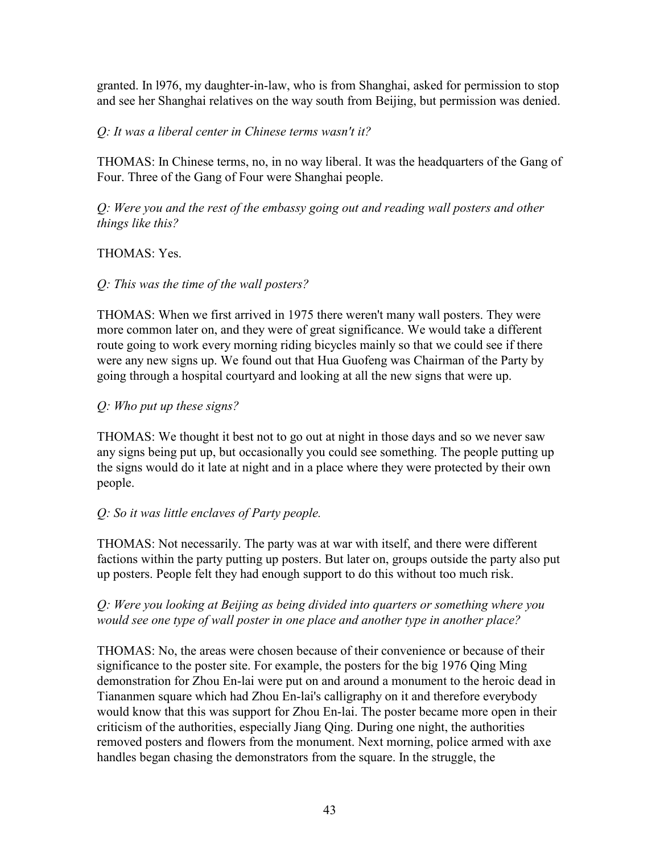granted. In l976, my daughter-in-law, who is from Shanghai, asked for permission to stop and see her Shanghai relatives on the way south from Beijing, but permission was denied.

### *Q: It was a liberal center in Chinese terms wasn't it?*

THOMAS: In Chinese terms, no, in no way liberal. It was the headquarters of the Gang of Four. Three of the Gang of Four were Shanghai people.

*Q: Were you and the rest of the embassy going out and reading wall posters and other things like this?* 

### THOMAS: Yes.

### *Q: This was the time of the wall posters?*

THOMAS: When we first arrived in 1975 there weren't many wall posters. They were more common later on, and they were of great significance. We would take a different route going to work every morning riding bicycles mainly so that we could see if there were any new signs up. We found out that Hua Guofeng was Chairman of the Party by going through a hospital courtyard and looking at all the new signs that were up.

## *Q: Who put up these signs?*

THOMAS: We thought it best not to go out at night in those days and so we never saw any signs being put up, but occasionally you could see something. The people putting up the signs would do it late at night and in a place where they were protected by their own people.

## *Q: So it was little enclaves of Party people.*

THOMAS: Not necessarily. The party was at war with itself, and there were different factions within the party putting up posters. But later on, groups outside the party also put up posters. People felt they had enough support to do this without too much risk.

### *Q: Were you looking at Beijing as being divided into quarters or something where you would see one type of wall poster in one place and another type in another place?*

THOMAS: No, the areas were chosen because of their convenience or because of their significance to the poster site. For example, the posters for the big 1976 Qing Ming demonstration for Zhou En-lai were put on and around a monument to the heroic dead in Tiananmen square which had Zhou En-lai's calligraphy on it and therefore everybody would know that this was support for Zhou En-lai. The poster became more open in their criticism of the authorities, especially Jiang Qing. During one night, the authorities removed posters and flowers from the monument. Next morning, police armed with axe handles began chasing the demonstrators from the square. In the struggle, the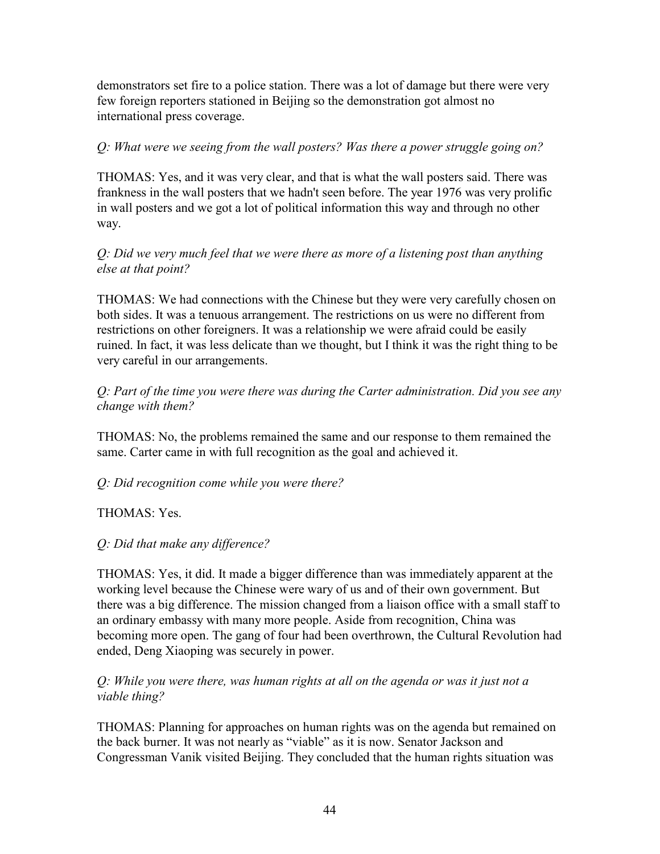demonstrators set fire to a police station. There was a lot of damage but there were very few foreign reporters stationed in Beijing so the demonstration got almost no international press coverage.

## *Q: What were we seeing from the wall posters? Was there a power struggle going on?*

THOMAS: Yes, and it was very clear, and that is what the wall posters said. There was frankness in the wall posters that we hadn't seen before. The year 1976 was very prolific in wall posters and we got a lot of political information this way and through no other way.

### *Q: Did we very much feel that we were there as more of a listening post than anything else at that point?*

THOMAS: We had connections with the Chinese but they were very carefully chosen on both sides. It was a tenuous arrangement. The restrictions on us were no different from restrictions on other foreigners. It was a relationship we were afraid could be easily ruined. In fact, it was less delicate than we thought, but I think it was the right thing to be very careful in our arrangements.

*Q: Part of the time you were there was during the Carter administration. Did you see any change with them?* 

THOMAS: No, the problems remained the same and our response to them remained the same. Carter came in with full recognition as the goal and achieved it.

#### *Q: Did recognition come while you were there?*

THOMAS: Yes.

#### *Q: Did that make any difference?*

THOMAS: Yes, it did. It made a bigger difference than was immediately apparent at the working level because the Chinese were wary of us and of their own government. But there was a big difference. The mission changed from a liaison office with a small staff to an ordinary embassy with many more people. Aside from recognition, China was becoming more open. The gang of four had been overthrown, the Cultural Revolution had ended, Deng Xiaoping was securely in power.

#### *Q: While you were there, was human rights at all on the agenda or was it just not a viable thing?*

THOMAS: Planning for approaches on human rights was on the agenda but remained on the back burner. It was not nearly as "viable" as it is now. Senator Jackson and Congressman Vanik visited Beijing. They concluded that the human rights situation was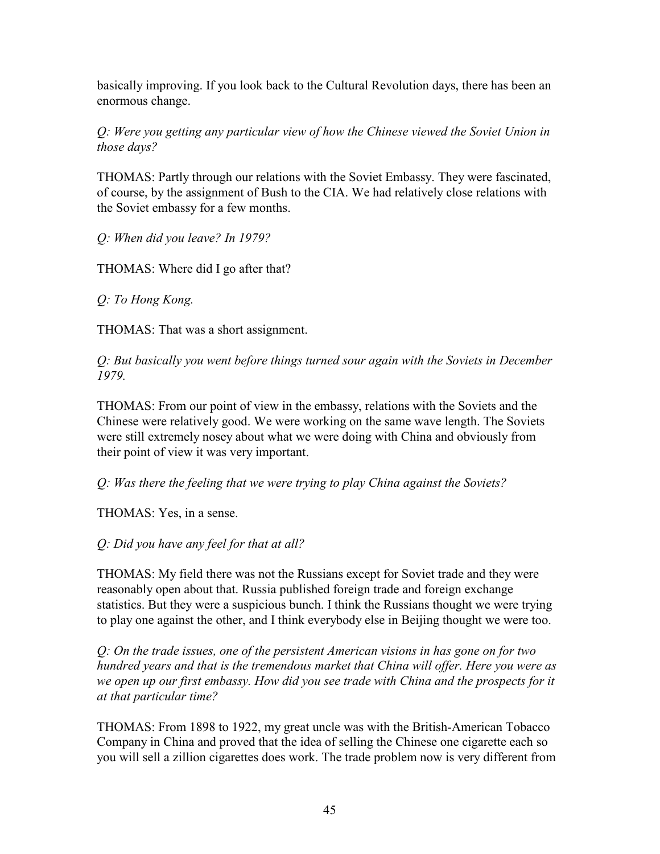basically improving. If you look back to the Cultural Revolution days, there has been an enormous change.

*Q: Were you getting any particular view of how the Chinese viewed the Soviet Union in those days?* 

THOMAS: Partly through our relations with the Soviet Embassy. They were fascinated, of course, by the assignment of Bush to the CIA. We had relatively close relations with the Soviet embassy for a few months.

*Q: When did you leave? In 1979?* 

THOMAS: Where did I go after that?

*Q: To Hong Kong.* 

THOMAS: That was a short assignment.

*Q: But basically you went before things turned sour again with the Soviets in December 1979.* 

THOMAS: From our point of view in the embassy, relations with the Soviets and the Chinese were relatively good. We were working on the same wave length. The Soviets were still extremely nosey about what we were doing with China and obviously from their point of view it was very important.

*Q: Was there the feeling that we were trying to play China against the Soviets?* 

THOMAS: Yes, in a sense.

*Q: Did you have any feel for that at all?* 

THOMAS: My field there was not the Russians except for Soviet trade and they were reasonably open about that. Russia published foreign trade and foreign exchange statistics. But they were a suspicious bunch. I think the Russians thought we were trying to play one against the other, and I think everybody else in Beijing thought we were too.

*Q: On the trade issues, one of the persistent American visions in has gone on for two hundred years and that is the tremendous market that China will offer. Here you were as we open up our first embassy. How did you see trade with China and the prospects for it at that particular time?* 

THOMAS: From 1898 to 1922, my great uncle was with the British-American Tobacco Company in China and proved that the idea of selling the Chinese one cigarette each so you will sell a zillion cigarettes does work. The trade problem now is very different from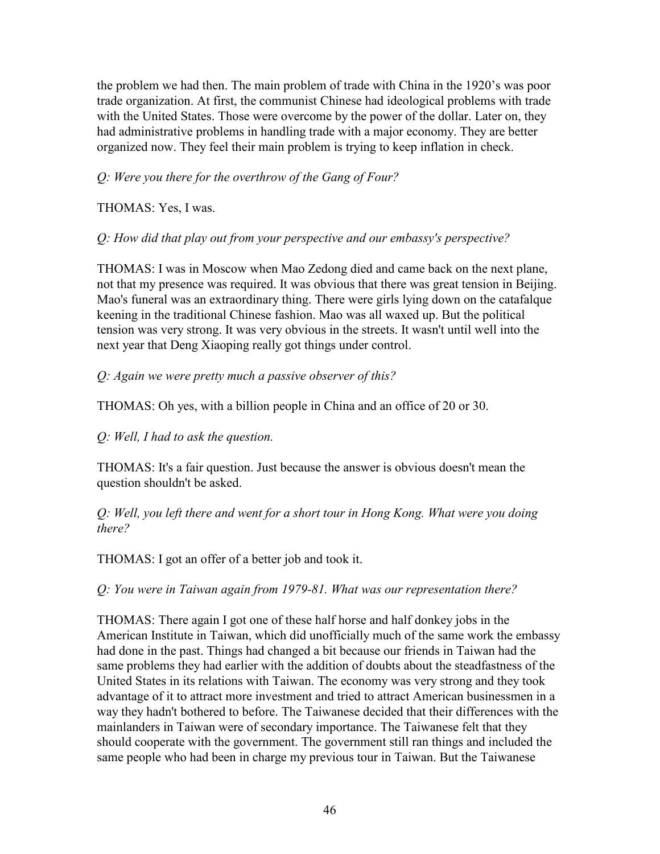the problem we had then. The main problem of trade with China in the 1920's was poor trade organization. At first, the communist Chinese had ideological problems with trade with the United States. Those were overcome by the power of the dollar. Later on, they had administrative problems in handling trade with a major economy. They are better organized now. They feel their main problem is trying to keep inflation in check.

### *Q: Were you there for the overthrow of the Gang of Four?*

THOMAS: Yes, I was.

*Q: How did that play out from your perspective and our embassy's perspective?* 

THOMAS: I was in Moscow when Mao Zedong died and came back on the next plane, not that my presence was required. It was obvious that there was great tension in Beijing. Mao's funeral was an extraordinary thing. There were girls lying down on the catafalque keening in the traditional Chinese fashion. Mao was all waxed up. But the political tension was very strong. It was very obvious in the streets. It wasn't until well into the next year that Deng Xiaoping really got things under control.

### *Q: Again we were pretty much a passive observer of this?*

THOMAS: Oh yes, with a billion people in China and an office of 20 or 30.

*Q: Well, I had to ask the question.* 

THOMAS: It's a fair question. Just because the answer is obvious doesn't mean the question shouldn't be asked.

*Q: Well, you left there and went for a short tour in Hong Kong. What were you doing there?* 

THOMAS: I got an offer of a better job and took it.

*Q: You were in Taiwan again from 1979-81. What was our representation there?* 

THOMAS: There again I got one of these half horse and half donkey jobs in the American Institute in Taiwan, which did unofficially much of the same work the embassy had done in the past. Things had changed a bit because our friends in Taiwan had the same problems they had earlier with the addition of doubts about the steadfastness of the United States in its relations with Taiwan. The economy was very strong and they took advantage of it to attract more investment and tried to attract American businessmen in a way they hadn't bothered to before. The Taiwanese decided that their differences with the mainlanders in Taiwan were of secondary importance. The Taiwanese felt that they should cooperate with the government. The government still ran things and included the same people who had been in charge my previous tour in Taiwan. But the Taiwanese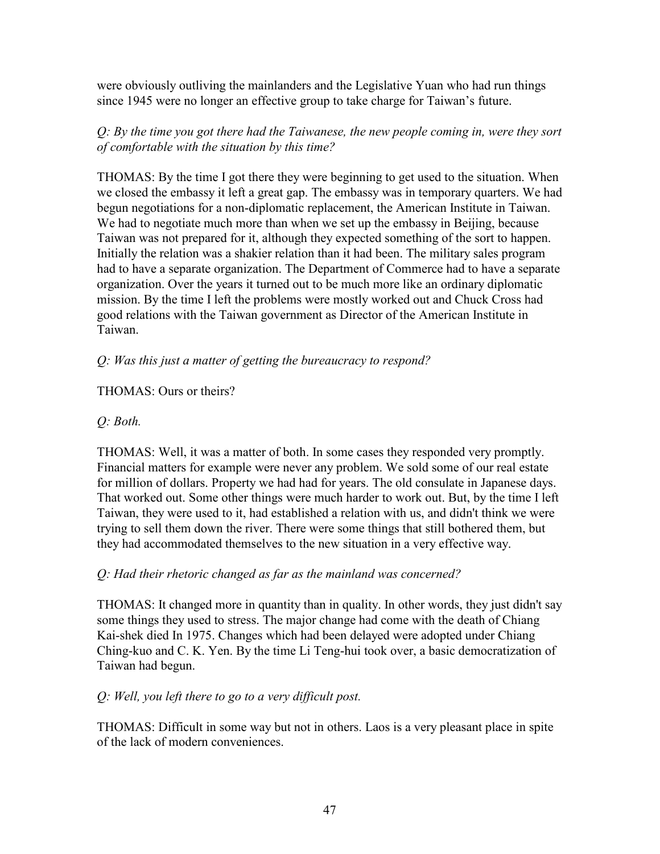were obviously outliving the mainlanders and the Legislative Yuan who had run things since 1945 were no longer an effective group to take charge for Taiwan's future.

## *Q: By the time you got there had the Taiwanese, the new people coming in, were they sort of comfortable with the situation by this time?*

THOMAS: By the time I got there they were beginning to get used to the situation. When we closed the embassy it left a great gap. The embassy was in temporary quarters. We had begun negotiations for a non-diplomatic replacement, the American Institute in Taiwan. We had to negotiate much more than when we set up the embassy in Beijing, because Taiwan was not prepared for it, although they expected something of the sort to happen. Initially the relation was a shakier relation than it had been. The military sales program had to have a separate organization. The Department of Commerce had to have a separate organization. Over the years it turned out to be much more like an ordinary diplomatic mission. By the time I left the problems were mostly worked out and Chuck Cross had good relations with the Taiwan government as Director of the American Institute in Taiwan.

## *Q: Was this just a matter of getting the bureaucracy to respond?*

### THOMAS: Ours or theirs?

### *Q: Both.*

THOMAS: Well, it was a matter of both. In some cases they responded very promptly. Financial matters for example were never any problem. We sold some of our real estate for million of dollars. Property we had had for years. The old consulate in Japanese days. That worked out. Some other things were much harder to work out. But, by the time I left Taiwan, they were used to it, had established a relation with us, and didn't think we were trying to sell them down the river. There were some things that still bothered them, but they had accommodated themselves to the new situation in a very effective way.

#### *Q: Had their rhetoric changed as far as the mainland was concerned?*

THOMAS: It changed more in quantity than in quality. In other words, they just didn't say some things they used to stress. The major change had come with the death of Chiang Kai-shek died In 1975. Changes which had been delayed were adopted under Chiang Ching-kuo and C. K. Yen. By the time Li Teng-hui took over, a basic democratization of Taiwan had begun.

#### *Q: Well, you left there to go to a very difficult post.*

THOMAS: Difficult in some way but not in others. Laos is a very pleasant place in spite of the lack of modern conveniences.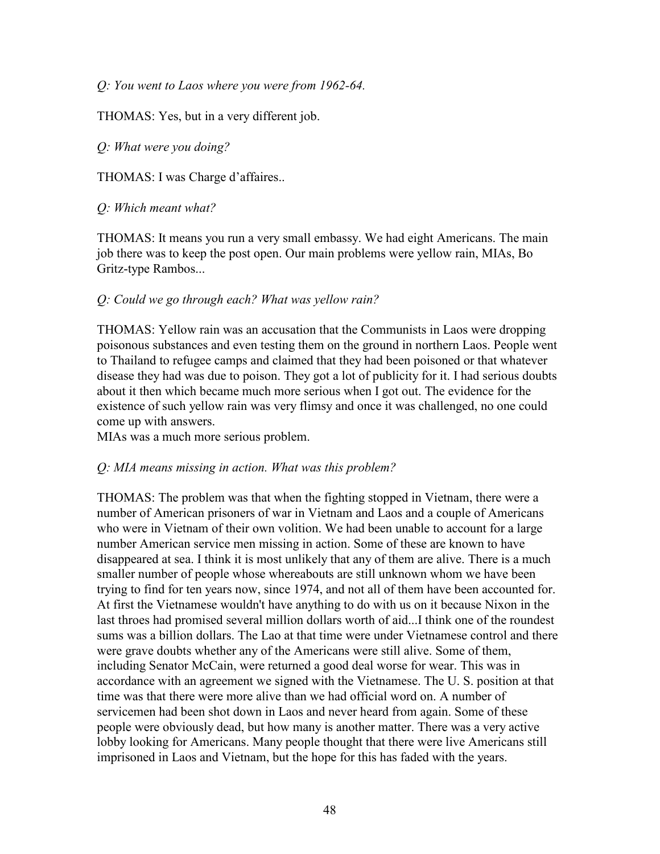*Q: You went to Laos where you were from 1962-64.* 

THOMAS: Yes, but in a very different job.

*Q: What were you doing?* 

THOMAS: I was Charge d'affaires..

*Q: Which meant what?* 

THOMAS: It means you run a very small embassy. We had eight Americans. The main job there was to keep the post open. Our main problems were yellow rain, MIAs, Bo Gritz-type Rambos...

### *Q: Could we go through each? What was yellow rain?*

THOMAS: Yellow rain was an accusation that the Communists in Laos were dropping poisonous substances and even testing them on the ground in northern Laos. People went to Thailand to refugee camps and claimed that they had been poisoned or that whatever disease they had was due to poison. They got a lot of publicity for it. I had serious doubts about it then which became much more serious when I got out. The evidence for the existence of such yellow rain was very flimsy and once it was challenged, no one could come up with answers.

MIAs was a much more serious problem.

#### *Q: MIA means missing in action. What was this problem?*

THOMAS: The problem was that when the fighting stopped in Vietnam, there were a number of American prisoners of war in Vietnam and Laos and a couple of Americans who were in Vietnam of their own volition. We had been unable to account for a large number American service men missing in action. Some of these are known to have disappeared at sea. I think it is most unlikely that any of them are alive. There is a much smaller number of people whose whereabouts are still unknown whom we have been trying to find for ten years now, since 1974, and not all of them have been accounted for. At first the Vietnamese wouldn't have anything to do with us on it because Nixon in the last throes had promised several million dollars worth of aid...I think one of the roundest sums was a billion dollars. The Lao at that time were under Vietnamese control and there were grave doubts whether any of the Americans were still alive. Some of them, including Senator McCain, were returned a good deal worse for wear. This was in accordance with an agreement we signed with the Vietnamese. The U. S. position at that time was that there were more alive than we had official word on. A number of servicemen had been shot down in Laos and never heard from again. Some of these people were obviously dead, but how many is another matter. There was a very active lobby looking for Americans. Many people thought that there were live Americans still imprisoned in Laos and Vietnam, but the hope for this has faded with the years.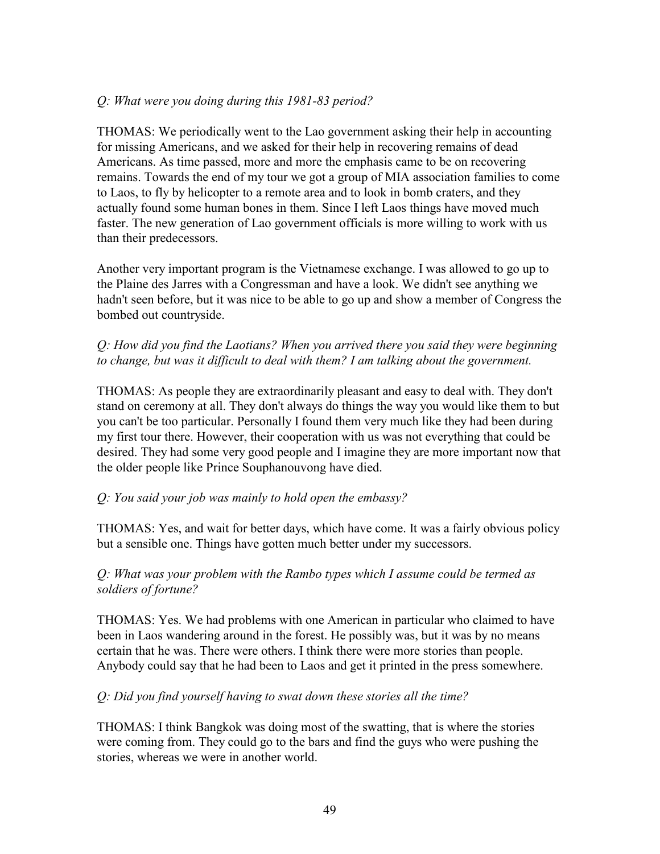### *Q: What were you doing during this 1981-83 period?*

THOMAS: We periodically went to the Lao government asking their help in accounting for missing Americans, and we asked for their help in recovering remains of dead Americans. As time passed, more and more the emphasis came to be on recovering remains. Towards the end of my tour we got a group of MIA association families to come to Laos, to fly by helicopter to a remote area and to look in bomb craters, and they actually found some human bones in them. Since I left Laos things have moved much faster. The new generation of Lao government officials is more willing to work with us than their predecessors.

Another very important program is the Vietnamese exchange. I was allowed to go up to the Plaine des Jarres with a Congressman and have a look. We didn't see anything we hadn't seen before, but it was nice to be able to go up and show a member of Congress the bombed out countryside.

#### *Q: How did you find the Laotians? When you arrived there you said they were beginning*  to change, but was it difficult to deal with them? I am talking about the government.

THOMAS: As people they are extraordinarily pleasant and easy to deal with. They don't stand on ceremony at all. They don't always do things the way you would like them to but you can't be too particular. Personally I found them very much like they had been during my first tour there. However, their cooperation with us was not everything that could be desired. They had some very good people and I imagine they are more important now that the older people like Prince Souphanouvong have died.

#### *Q: You said your job was mainly to hold open the embassy?*

THOMAS: Yes, and wait for better days, which have come. It was a fairly obvious policy but a sensible one. Things have gotten much better under my successors.

#### *Q: What was your problem with the Rambo types which I assume could be termed as soldiers of fortune?*

THOMAS: Yes. We had problems with one American in particular who claimed to have been in Laos wandering around in the forest. He possibly was, but it was by no means certain that he was. There were others. I think there were more stories than people. Anybody could say that he had been to Laos and get it printed in the press somewhere.

#### *Q: Did you find yourself having to swat down these stories all the time?*

THOMAS: I think Bangkok was doing most of the swatting, that is where the stories were coming from. They could go to the bars and find the guys who were pushing the stories, whereas we were in another world.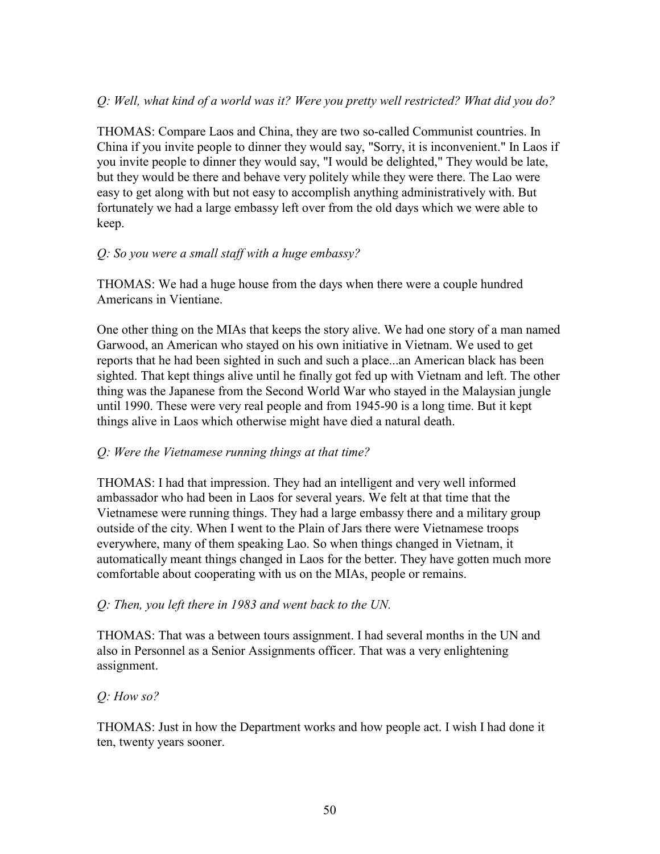### *Q: Well, what kind of a world was it? Were you pretty well restricted? What did you do?*

THOMAS: Compare Laos and China, they are two so-called Communist countries. In China if you invite people to dinner they would say, "Sorry, it is inconvenient." In Laos if you invite people to dinner they would say, "I would be delighted," They would be late, but they would be there and behave very politely while they were there. The Lao were easy to get along with but not easy to accomplish anything administratively with. But fortunately we had a large embassy left over from the old days which we were able to keep.

#### *Q: So you were a small staff with a huge embassy?*

THOMAS: We had a huge house from the days when there were a couple hundred Americans in Vientiane.

One other thing on the MIAs that keeps the story alive. We had one story of a man named Garwood, an American who stayed on his own initiative in Vietnam. We used to get reports that he had been sighted in such and such a place...an American black has been sighted. That kept things alive until he finally got fed up with Vietnam and left. The other thing was the Japanese from the Second World War who stayed in the Malaysian jungle until 1990. These were very real people and from 1945-90 is a long time. But it kept things alive in Laos which otherwise might have died a natural death.

#### *Q: Were the Vietnamese running things at that time?*

THOMAS: I had that impression. They had an intelligent and very well informed ambassador who had been in Laos for several years. We felt at that time that the Vietnamese were running things. They had a large embassy there and a military group outside of the city. When I went to the Plain of Jars there were Vietnamese troops everywhere, many of them speaking Lao. So when things changed in Vietnam, it automatically meant things changed in Laos for the better. They have gotten much more comfortable about cooperating with us on the MIAs, people or remains.

#### *Q: Then, you left there in 1983 and went back to the UN.*

THOMAS: That was a between tours assignment. I had several months in the UN and also in Personnel as a Senior Assignments officer. That was a very enlightening assignment.

#### *Q: How so?*

THOMAS: Just in how the Department works and how people act. I wish I had done it ten, twenty years sooner.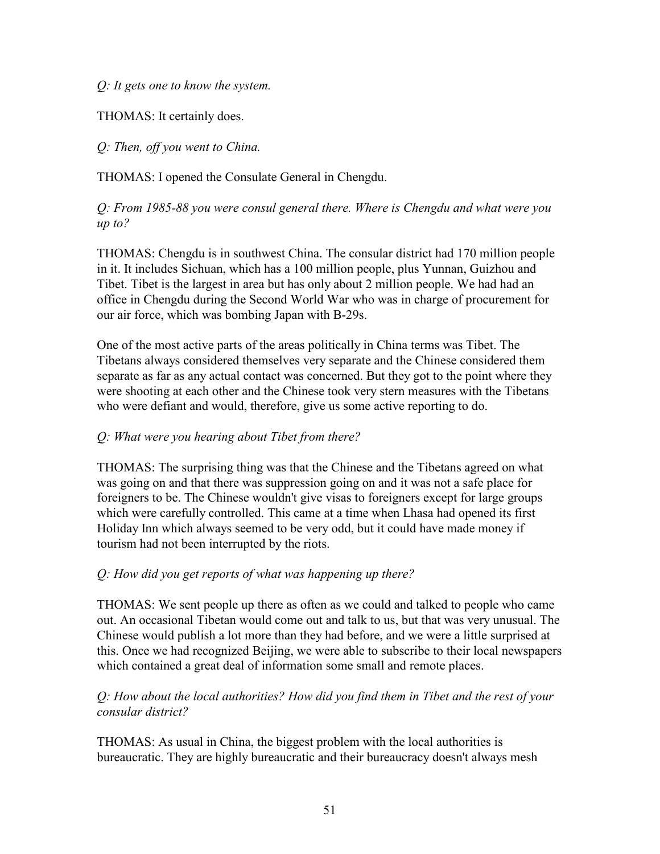*Q: It gets one to know the system.* 

THOMAS: It certainly does.

*Q: Then, off you went to China.* 

THOMAS: I opened the Consulate General in Chengdu.

*Q: From 1985-88 you were consul general there. Where is Chengdu and what were you up to?* 

THOMAS: Chengdu is in southwest China. The consular district had 170 million people in it. It includes Sichuan, which has a 100 million people, plus Yunnan, Guizhou and Tibet. Tibet is the largest in area but has only about 2 million people. We had had an office in Chengdu during the Second World War who was in charge of procurement for our air force, which was bombing Japan with B-29s.

One of the most active parts of the areas politically in China terms was Tibet. The Tibetans always considered themselves very separate and the Chinese considered them separate as far as any actual contact was concerned. But they got to the point where they were shooting at each other and the Chinese took very stern measures with the Tibetans who were defiant and would, therefore, give us some active reporting to do.

#### *Q: What were you hearing about Tibet from there?*

THOMAS: The surprising thing was that the Chinese and the Tibetans agreed on what was going on and that there was suppression going on and it was not a safe place for foreigners to be. The Chinese wouldn't give visas to foreigners except for large groups which were carefully controlled. This came at a time when Lhasa had opened its first Holiday Inn which always seemed to be very odd, but it could have made money if tourism had not been interrupted by the riots.

#### *Q: How did you get reports of what was happening up there?*

THOMAS: We sent people up there as often as we could and talked to people who came out. An occasional Tibetan would come out and talk to us, but that was very unusual. The Chinese would publish a lot more than they had before, and we were a little surprised at this. Once we had recognized Beijing, we were able to subscribe to their local newspapers which contained a great deal of information some small and remote places.

#### *Q: How about the local authorities? How did you find them in Tibet and the rest of your consular district?*

THOMAS: As usual in China, the biggest problem with the local authorities is bureaucratic. They are highly bureaucratic and their bureaucracy doesn't always mesh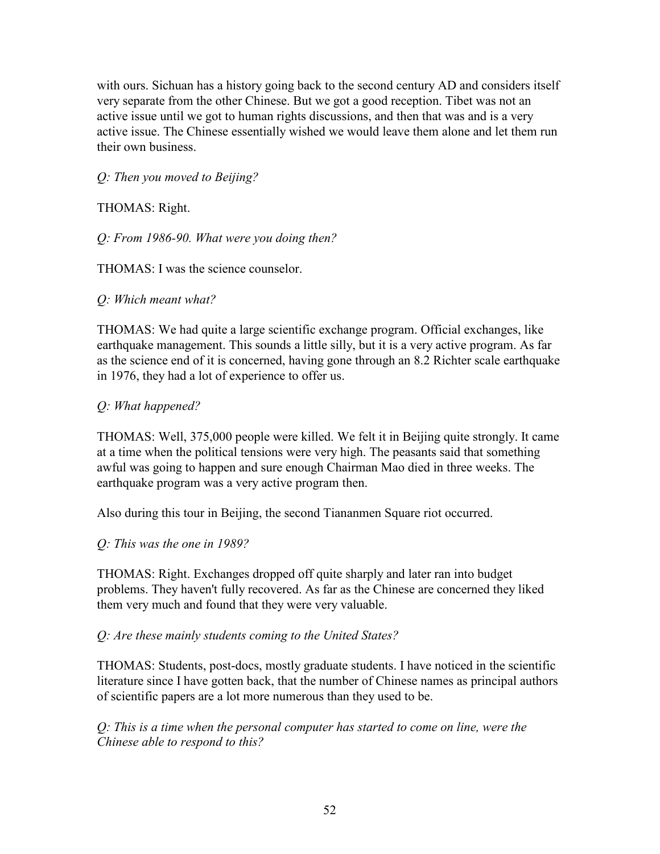with ours. Sichuan has a history going back to the second century AD and considers itself very separate from the other Chinese. But we got a good reception. Tibet was not an active issue until we got to human rights discussions, and then that was and is a very active issue. The Chinese essentially wished we would leave them alone and let them run their own business.

*Q: Then you moved to Beijing?* 

THOMAS: Right.

*Q: From 1986-90. What were you doing then?* 

THOMAS: I was the science counselor.

*Q: Which meant what?* 

THOMAS: We had quite a large scientific exchange program. Official exchanges, like earthquake management. This sounds a little silly, but it is a very active program. As far as the science end of it is concerned, having gone through an 8.2 Richter scale earthquake in 1976, they had a lot of experience to offer us.

### *Q: What happened?*

THOMAS: Well, 375,000 people were killed. We felt it in Beijing quite strongly. It came at a time when the political tensions were very high. The peasants said that something awful was going to happen and sure enough Chairman Mao died in three weeks. The earthquake program was a very active program then.

Also during this tour in Beijing, the second Tiananmen Square riot occurred.

#### *Q: This was the one in 1989?*

THOMAS: Right. Exchanges dropped off quite sharply and later ran into budget problems. They haven't fully recovered. As far as the Chinese are concerned they liked them very much and found that they were very valuable.

## *Q: Are these mainly students coming to the United States?*

THOMAS: Students, post-docs, mostly graduate students. I have noticed in the scientific literature since I have gotten back, that the number of Chinese names as principal authors of scientific papers are a lot more numerous than they used to be.

*Q: This is a time when the personal computer has started to come on line, were the Chinese able to respond to this?*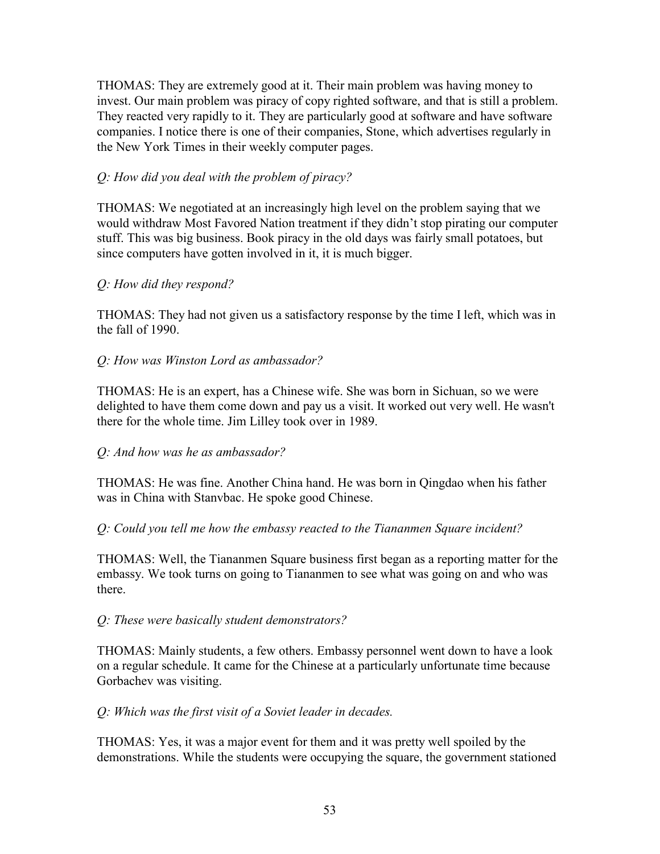THOMAS: They are extremely good at it. Their main problem was having money to invest. Our main problem was piracy of copy righted software, and that is still a problem. They reacted very rapidly to it. They are particularly good at software and have software companies. I notice there is one of their companies, Stone, which advertises regularly in the New York Times in their weekly computer pages.

### *Q: How did you deal with the problem of piracy?*

THOMAS: We negotiated at an increasingly high level on the problem saying that we would withdraw Most Favored Nation treatment if they didn't stop pirating our computer stuff. This was big business. Book piracy in the old days was fairly small potatoes, but since computers have gotten involved in it, it is much bigger.

### *Q: How did they respond?*

THOMAS: They had not given us a satisfactory response by the time I left, which was in the fall of 1990.

### *Q: How was Winston Lord as ambassador?*

THOMAS: He is an expert, has a Chinese wife. She was born in Sichuan, so we were delighted to have them come down and pay us a visit. It worked out very well. He wasn't there for the whole time. Jim Lilley took over in 1989.

#### *Q: And how was he as ambassador?*

THOMAS: He was fine. Another China hand. He was born in Qingdao when his father was in China with Stanvbac. He spoke good Chinese.

#### *Q: Could you tell me how the embassy reacted to the Tiananmen Square incident?*

THOMAS: Well, the Tiananmen Square business first began as a reporting matter for the embassy. We took turns on going to Tiananmen to see what was going on and who was there.

#### *Q: These were basically student demonstrators?*

THOMAS: Mainly students, a few others. Embassy personnel went down to have a look on a regular schedule. It came for the Chinese at a particularly unfortunate time because Gorbachev was visiting.

#### *Q: Which was the first visit of a Soviet leader in decades.*

THOMAS: Yes, it was a major event for them and it was pretty well spoiled by the demonstrations. While the students were occupying the square, the government stationed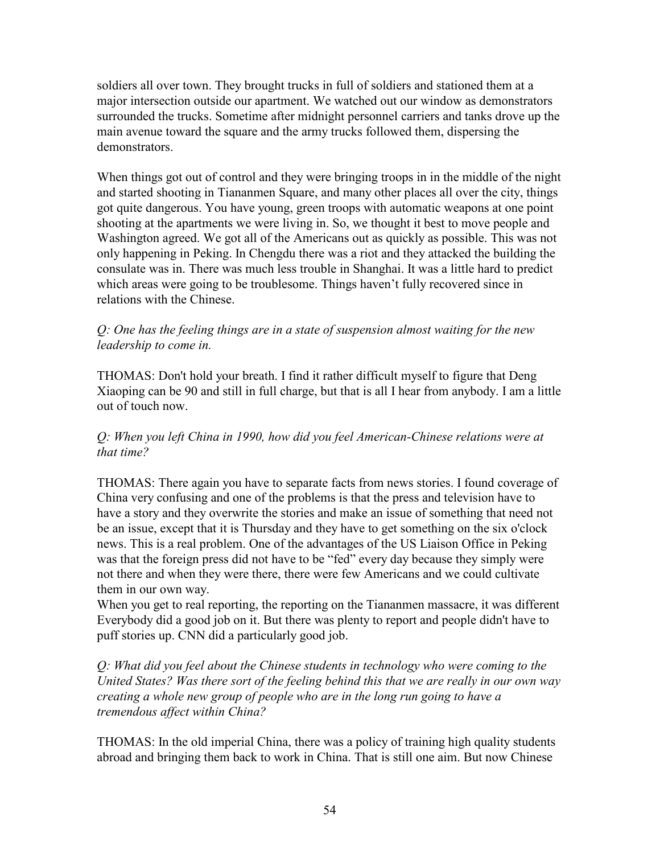soldiers all over town. They brought trucks in full of soldiers and stationed them at a major intersection outside our apartment. We watched out our window as demonstrators surrounded the trucks. Sometime after midnight personnel carriers and tanks drove up the main avenue toward the square and the army trucks followed them, dispersing the demonstrators.

When things got out of control and they were bringing troops in in the middle of the night and started shooting in Tiananmen Square, and many other places all over the city, things got quite dangerous. You have young, green troops with automatic weapons at one point shooting at the apartments we were living in. So, we thought it best to move people and Washington agreed. We got all of the Americans out as quickly as possible. This was not only happening in Peking. In Chengdu there was a riot and they attacked the building the consulate was in. There was much less trouble in Shanghai. It was a little hard to predict which areas were going to be troublesome. Things haven't fully recovered since in relations with the Chinese.

### *Q: One has the feeling things are in a state of suspension almost waiting for the new leadership to come in.*

THOMAS: Don't hold your breath. I find it rather difficult myself to figure that Deng Xiaoping can be 90 and still in full charge, but that is all I hear from anybody. I am a little out of touch now.

#### *Q: When you left China in 1990, how did you feel American-Chinese relations were at that time?*

THOMAS: There again you have to separate facts from news stories. I found coverage of China very confusing and one of the problems is that the press and television have to have a story and they overwrite the stories and make an issue of something that need not be an issue, except that it is Thursday and they have to get something on the six o'clock news. This is a real problem. One of the advantages of the US Liaison Office in Peking was that the foreign press did not have to be "fed" every day because they simply were not there and when they were there, there were few Americans and we could cultivate them in our own way.

When you get to real reporting, the reporting on the Tiananmen massacre, it was different Everybody did a good job on it. But there was plenty to report and people didn't have to puff stories up. CNN did a particularly good job.

*Q: What did you feel about the Chinese students in technology who were coming to the United States? Was there sort of the feeling behind this that we are really in our own way creating a whole new group of people who are in the long run going to have a tremendous affect within China?* 

THOMAS: In the old imperial China, there was a policy of training high quality students abroad and bringing them back to work in China. That is still one aim. But now Chinese